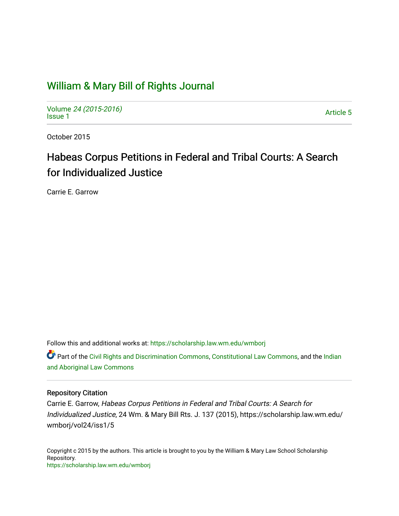## [William & Mary Bill of Rights Journal](https://scholarship.law.wm.edu/wmborj)

Volume [24 \(2015-2016\)](https://scholarship.law.wm.edu/wmborj/vol24)  volume 24 (2010-2010)<br>[Issue 1](https://scholarship.law.wm.edu/wmborj/vol24/iss1)

October 2015

# Habeas Corpus Petitions in Federal and Tribal Courts: A Search for Individualized Justice

Carrie E. Garrow

Follow this and additional works at: [https://scholarship.law.wm.edu/wmborj](https://scholarship.law.wm.edu/wmborj?utm_source=scholarship.law.wm.edu%2Fwmborj%2Fvol24%2Fiss1%2F5&utm_medium=PDF&utm_campaign=PDFCoverPages) 

Part of the [Civil Rights and Discrimination Commons,](http://network.bepress.com/hgg/discipline/585?utm_source=scholarship.law.wm.edu%2Fwmborj%2Fvol24%2Fiss1%2F5&utm_medium=PDF&utm_campaign=PDFCoverPages) [Constitutional Law Commons,](http://network.bepress.com/hgg/discipline/589?utm_source=scholarship.law.wm.edu%2Fwmborj%2Fvol24%2Fiss1%2F5&utm_medium=PDF&utm_campaign=PDFCoverPages) and the [Indian](http://network.bepress.com/hgg/discipline/894?utm_source=scholarship.law.wm.edu%2Fwmborj%2Fvol24%2Fiss1%2F5&utm_medium=PDF&utm_campaign=PDFCoverPages) [and Aboriginal Law Commons](http://network.bepress.com/hgg/discipline/894?utm_source=scholarship.law.wm.edu%2Fwmborj%2Fvol24%2Fiss1%2F5&utm_medium=PDF&utm_campaign=PDFCoverPages) 

## Repository Citation

Carrie E. Garrow, Habeas Corpus Petitions in Federal and Tribal Courts: A Search for Individualized Justice, 24 Wm. & Mary Bill Rts. J. 137 (2015), https://scholarship.law.wm.edu/ wmborj/vol24/iss1/5

Copyright c 2015 by the authors. This article is brought to you by the William & Mary Law School Scholarship Repository. <https://scholarship.law.wm.edu/wmborj>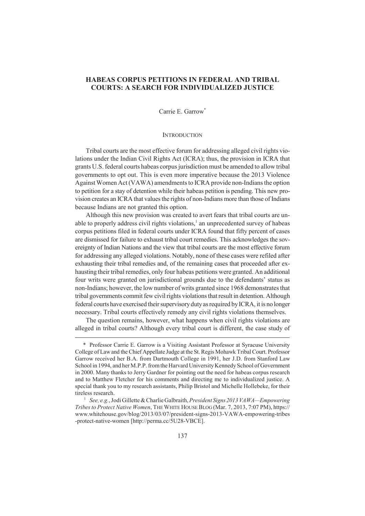## **HABEAS CORPUS PETITIONS IN FEDERAL AND TRIBAL COURTS: A SEARCH FOR INDIVIDUALIZED JUSTICE**

Carrie E. Garrow\*

#### **INTRODUCTION**

Tribal courts are the most effective forum for addressing alleged civil rights violations under the Indian Civil Rights Act (ICRA); thus, the provision in ICRA that grants U.S. federal courts habeas corpus jurisdiction must be amended to allow tribal governments to opt out. This is even more imperative because the 2013 Violence Against Women Act (VAWA) amendments to ICRA provide non-Indians the option to petition for a stay of detention while their habeas petition is pending. This new provision creates an ICRA that values the rights of non-Indians more than those of Indians because Indians are not granted this option.

Although this new provision was created to avert fears that tribal courts are unable to properly address civil rights violations,<sup>1</sup> an unprecedented survey of habeas corpus petitions filed in federal courts under ICRA found that fifty percent of cases are dismissed for failure to exhaust tribal court remedies. This acknowledges the sovereignty of Indian Nations and the view that tribal courts are the most effective forum for addressing any alleged violations. Notably, none of these cases were refiled after exhausting their tribal remedies and, of the remaining cases that proceeded after exhausting their tribal remedies, only four habeas petitions were granted. An additional four writs were granted on jurisdictional grounds due to the defendants' status as non-Indians; however, the low number of writs granted since 1968 demonstrates that tribal governments commit few civil rights violations that result in detention. Although federal courts have exercised their supervisory duty as required by ICRA, it is no longer necessary. Tribal courts effectively remedy any civil rights violations themselves.

The question remains, however, what happens when civil rights violations are alleged in tribal courts? Although every tribal court is different, the case study of

<sup>\*</sup> Professor Carrie E. Garrow is a Visiting Assistant Professor at Syracuse University College of Law and the Chief Appellate Judge at the St. Regis Mohawk Tribal Court. Professor Garrow received her B.A. from Dartmouth College in 1991, her J.D. from Stanford Law School in 1994, and her M.P.P. from the Harvard University Kennedy School of Government in 2000. Many thanks to Jerry Gardner for pointing out the need for habeas corpus research and to Matthew Fletcher for his comments and directing me to individualized justice. A special thank you to my research assistants, Philip Bristol and Michelle Hollebeke, for their tireless research.

<sup>1</sup> *See, e.g.*, Jodi Gillette & Charlie Galbraith, *President Signs 2013 VAWA—Empowering Tribes to Protect Native Women*, THE WHITE HOUSE BLOG (Mar. 7, 2013, 7:07 PM), https:// www.whitehouse.gov/blog/2013/03/07/president-signs-2013-VAWA-empowering-tribes -protect-native-women [http://perma.cc/5U28-VBCE].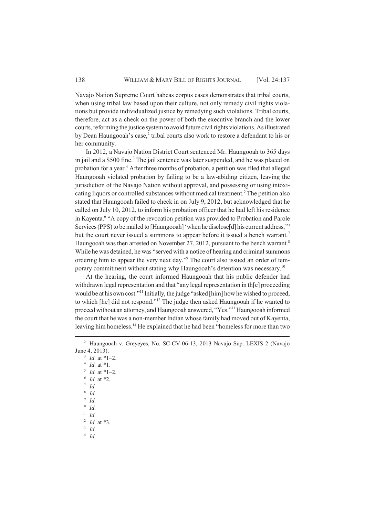Navajo Nation Supreme Court habeas corpus cases demonstrates that tribal courts, when using tribal law based upon their culture, not only remedy civil rights violations but provide individualized justice by remedying such violations. Tribal courts, therefore, act as a check on the power of both the executive branch and the lower courts, reforming the justice system to avoid future civil rights violations. As illustrated by Dean Haungooah's case,<sup>2</sup> tribal courts also work to restore a defendant to his or her community.

In 2012, a Navajo Nation District Court sentenced Mr. Haungooah to 365 days in jail and a \$500 fine.<sup>3</sup> The jail sentence was later suspended, and he was placed on probation for a year.<sup>4</sup> After three months of probation, a petition was filed that alleged Haungooah violated probation by failing to be a law-abiding citizen, leaving the jurisdiction of the Navajo Nation without approval, and possessing or using intoxicating liquors or controlled substances without medical treatment.<sup>5</sup> The petition also stated that Haungooah failed to check in on July 9, 2012, but acknowledged that he called on July 10, 2012, to inform his probation officer that he had left his residence in Kayenta.<sup>6</sup> "A copy of the revocation petition was provided to Probation and Parole Services (PPS) to be mailed to [Haungooah] 'when he disclose[d] his current address," but the court never issued a summons to appear before it issued a bench warrant.<sup>7</sup> Haungooah was then arrested on November 27, 2012, pursuant to the bench warrant.<sup>8</sup> While he was detained, he was "served with a notice of hearing and criminal summons ordering him to appear the very next day."<sup>9</sup> The court also issued an order of temporary commitment without stating why Haungooah's detention was necessary.<sup>10</sup>

At the hearing, the court informed Haungooah that his public defender had withdrawn legal representation and that "any legal representation in th[e] proceeding would be at his own cost."<sup>11</sup> Initially, the judge "asked [him] how he wished to proceed, to which [he] did not respond."<sup>12</sup> The judge then asked Haungooah if he wanted to proceed without an attorney, and Haungooah answered, "Yes."<sup>13</sup> Haungooah informed the court that he was a non-member Indian whose family had moved out of Kayenta, leaving him homeless.<sup>14</sup> He explained that he had been "homeless for more than two

<sup>11</sup> *Id.*

<sup>12</sup> *Id.* at \*3.

<sup>13</sup> *Id.*

<sup>14</sup> *Id.*

<sup>2</sup> Haungooah v. Greyeyes, No. SC-CV-06-13, 2013 Navajo Sup. LEXIS 2 (Navajo June 4, 2013).

 $3$  *Id.* at \*1–2. 4 *Id.* at \*1.

 $^{5}$  *Id.* at \*1–2.

<sup>6</sup> *Id.* at \*2.

<sup>7</sup> *Id.*

<sup>8</sup> *Id.*

<sup>9</sup> *Id.*

<sup>10</sup> *Id.*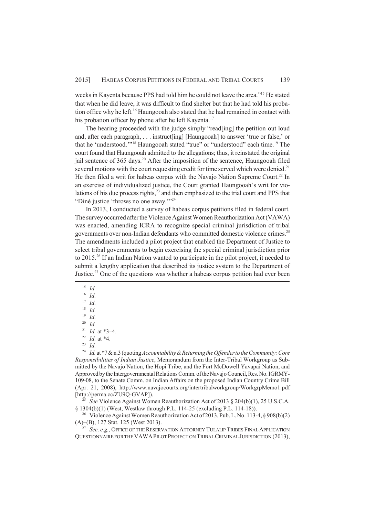weeks in Kayenta because PPS had told him he could not leave the area."<sup>15</sup> He stated that when he did leave, it was difficult to find shelter but that he had told his probation office why he left.<sup>16</sup> Haungooah also stated that he had remained in contact with his probation officer by phone after he left Kayenta.<sup>17</sup>

The hearing proceeded with the judge simply "read[ing] the petition out loud and, after each paragraph, . . . instruct[ing] [Haungooah] to answer 'true or false,' or that he 'understood.'"<sup>18</sup> Haungooah stated "true" or "understood" each time.<sup>19</sup> The court found that Haungooah admitted to the allegations; thus, it reinstated the original jail sentence of 365 days.<sup>20</sup> After the imposition of the sentence, Haungooah filed several motions with the court requesting credit for time served which were denied.<sup>21</sup> He then filed a writ for habeas corpus with the Navajo Nation Supreme Court.<sup>22</sup> In an exercise of individualized justice, the Court granted Haungooah's writ for violations of his due process rights, $23$  and then emphasized to the trial court and PPS that "Diné justice 'throws no one away.'"<sup>24</sup>

In 2013, I conducted a survey of habeas corpus petitions filed in federal court. The survey occurred after the Violence Against Women Reauthorization Act (VAWA) was enacted, amending ICRA to recognize special criminal jurisdiction of tribal governments over non-Indian defendants who committed domestic violence crimes.<sup>25</sup> The amendments included a pilot project that enabled the Department of Justice to select tribal governments to begin exercising the special criminal jurisdiction prior to 2015.<sup>26</sup> If an Indian Nation wanted to participate in the pilot project, it needed to submit a lengthy application that described its justice system to the Department of Justice.<sup>27</sup> One of the questions was whether a habeas corpus petition had ever been

- <sup>15</sup> *Id.*
- <sup>16</sup> *Id.*

<sup>24</sup> *Id.* at \*7 & n.3 (quoting *Accountability & Returning the Offender to the Community: Core Responsibilities of Indian Justice*, Memorandum from the Inter-Tribal Workgroup as Submitted by the Navajo Nation, the Hopi Tribe, and the Fort McDowell Yavapai Nation, and Approved by the Intergovernmental Relations Comm. of the Navajo Council, Res. No. IGRMY-109-08, to the Senate Comm. on Indian Affairs on the proposed Indian Country Crime Bill (Apr. 21, 2008), http://www.navajocourts.org/intertribalworkgroup/WorkgrpMemo1.pdf [http://perma.cc/ZU9Q-GVAP]).

 $^{25}$  *See* Violence Against Women Reauthorization Act of 2013 § 204(b)(1), 25 U.S.C.A. § 1304(b)(1) (West, Westlaw through P.L. 114-25 (excluding P.L. 114-18)).

<sup>26</sup> Violence Against Women Reauthorization Act of 2013, Pub. L. No. 113-4, § 908(b)(2) (A)–(B), 127 Stat. 125 (West 2013).

<sup>27</sup> *See, e.g.*, OFFICE OF THE RESERVATION ATTORNEY TULALIP TRIBES FINAL APPLICATION QUESTIONNAIRE FOR THE VAWAPILOT PROJECT ON TRIBAL CRIMINAL JURISDICTION (2013),

<sup>17</sup> *Id.*

 $\frac{18}{19}$  *Id.* 

 $\frac{19}{20}$  *Id.* <sup>20</sup> *Id.*

<sup>21</sup> *Id.* at \*3–4.

<sup>22</sup> *Id.* at \*4.

<sup>23</sup> *Id.*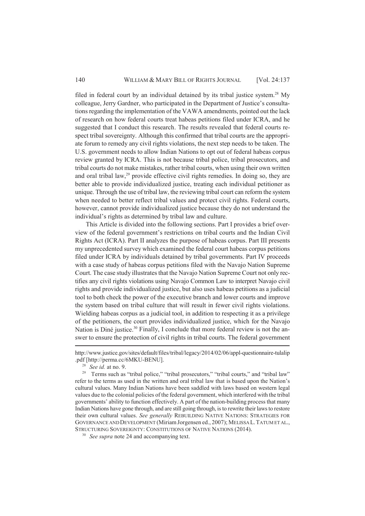filed in federal court by an individual detained by its tribal justice system.<sup>28</sup> My colleague, Jerry Gardner, who participated in the Department of Justice's consultations regarding the implementation of the VAWA amendments, pointed out the lack of research on how federal courts treat habeas petitions filed under ICRA, and he suggested that I conduct this research. The results revealed that federal courts respect tribal sovereignty. Although this confirmed that tribal courts are the appropriate forum to remedy any civil rights violations, the next step needs to be taken. The U.S. government needs to allow Indian Nations to opt out of federal habeas corpus review granted by ICRA. This is not because tribal police, tribal prosecutors, and tribal courts do not make mistakes, rather tribal courts, when using their own written and oral tribal law, $^{29}$  provide effective civil rights remedies. In doing so, they are better able to provide individualized justice, treating each individual petitioner as unique. Through the use of tribal law, the reviewing tribal court can reform the system when needed to better reflect tribal values and protect civil rights. Federal courts, however, cannot provide individualized justice because they do not understand the individual's rights as determined by tribal law and culture.

This Article is divided into the following sections. Part I provides a brief overview of the federal government's restrictions on tribal courts and the Indian Civil Rights Act (ICRA). Part II analyzes the purpose of habeas corpus. Part III presents my unprecedented survey which examined the federal court habeas corpus petitions filed under ICRA by individuals detained by tribal governments. Part IV proceeds with a case study of habeas corpus petitions filed with the Navajo Nation Supreme Court. The case study illustrates that the Navajo Nation Supreme Court not only rectifies any civil rights violations using Navajo Common Law to interpret Navajo civil rights and provide individualized justice, but also uses habeas petitions as a judicial tool to both check the power of the executive branch and lower courts and improve the system based on tribal culture that will result in fewer civil rights violations. Wielding habeas corpus as a judicial tool, in addition to respecting it as a privilege of the petitioners, the court provides individualized justice, which for the Navajo Nation is Diné justice.<sup>30</sup> Finally, I conclude that more federal review is not the answer to ensure the protection of civil rights in tribal courts. The federal government

http://www.justice.gov/sites/default/files/tribal/legacy/2014/02/06/appl-questionnaire-tulalip .pdf [http://perma.cc/6MKU-BENU].

<sup>28</sup> *See id.* at no. 9.

<sup>&</sup>lt;sup>29</sup> Terms such as "tribal police," "tribal prosecutors," "tribal courts," and "tribal law" refer to the terms as used in the written and oral tribal law that is based upon the Nation's cultural values. Many Indian Nations have been saddled with laws based on western legal values due to the colonial policies of the federal government, which interfered with the tribal governments' ability to function effectively. A part of the nation-building process that many Indian Nations have gone through, and are still going through, is to rewrite their laws to restore their own cultural values. *See generally* REBUILDING NATIVE NATIONS: STRATEGIES FOR GOVERNANCE AND DEVELOPMENT (Miriam Jorgensen ed., 2007); MELISSA L.TATUM ET AL., STRUCTURING SOVEREIGNTY: CONSTITUTIONS OF NATIVE NATIONS (2014).

<sup>30</sup> *See supra* note 24 and accompanying text.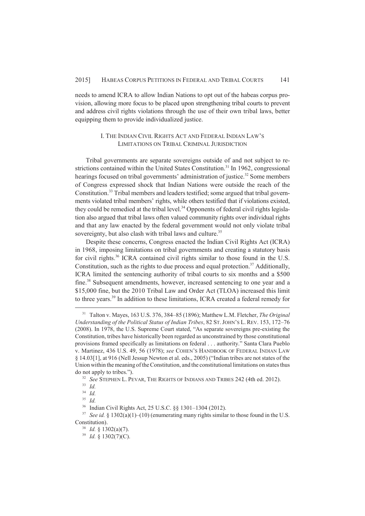needs to amend ICRA to allow Indian Nations to opt out of the habeas corpus provision, allowing more focus to be placed upon strengthening tribal courts to prevent and address civil rights violations through the use of their own tribal laws, better equipping them to provide individualized justice.

## I. THE INDIAN CIVIL RIGHTS ACT AND FEDERAL INDIAN LAW'S LIMITATIONS ON TRIBAL CRIMINAL JURISDICTION

Tribal governments are separate sovereigns outside of and not subject to restrictions contained within the United States Constitution.<sup>31</sup> In 1962, congressional hearings focused on tribal governments' administration of justice.<sup>32</sup> Some members of Congress expressed shock that Indian Nations were outside the reach of the Constitution.33 Tribal members and leaders testified; some argued that tribal governments violated tribal members' rights, while others testified that if violations existed, they could be remedied at the tribal level.<sup>34</sup> Opponents of federal civil rights legislation also argued that tribal laws often valued community rights over individual rights and that any law enacted by the federal government would not only violate tribal sovereignty, but also clash with tribal laws and culture.<sup>35</sup>

Despite these concerns, Congress enacted the Indian Civil Rights Act (ICRA) in 1968, imposing limitations on tribal governments and creating a statutory basis for civil rights.<sup>36</sup> ICRA contained civil rights similar to those found in the U.S. Constitution, such as the rights to due process and equal protection.<sup>37</sup> Additionally, ICRA limited the sentencing authority of tribal courts to six months and a \$500 fine.<sup>38</sup> Subsequent amendments, however, increased sentencing to one year and a \$15,000 fine, but the 2010 Tribal Law and Order Act (TLOA) increased this limit to three years.<sup>39</sup> In addition to these limitations, ICRA created a federal remedy for

<sup>31</sup> Talton v. Mayes, 163 U.S. 376, 384–85 (1896); Matthew L.M. Fletcher, *The Original Understanding of the Political Status of Indian Tribes*, 82 ST. JOHN'S L. REV. 153, 172–76 (2008). In 1978, the U.S. Supreme Court stated, "As separate sovereigns pre-existing the Constitution, tribes have historically been regarded as unconstrained by those constitutional provisions framed specifically as limitations on federal . . . authority." Santa Clara Pueblo v. Martinez, 436 U.S. 49, 56 (1978); *see* COHEN'S HANDBOOK OF FEDERAL INDIAN LAW § 14.03[1], at 916 (Nell Jessup Newton et al. eds., 2005) ("Indian tribes are not states of the Union within the meaning of the Constitution, and the constitutional limitations on states thus do not apply to tribes.").

<sup>&</sup>lt;sup>32</sup> *See* STEPHEN L. PEVAR, THE RIGHTS OF INDIANS AND TRIBES 242 (4th ed. 2012).

<sup>33</sup> *Id.*

<sup>34</sup> *Id.*

<sup>35</sup> *Id.*

<sup>36</sup> Indian Civil Rights Act, 25 U.S.C. §§ 1301–1304 (2012).

<sup>&</sup>lt;sup>37</sup> *See id.* § 1302(a)(1)–(10) (enumerating many rights similar to those found in the U.S. Constitution).

<sup>38</sup> *Id.* § 1302(a)(7).

<sup>39</sup> *Id.* § 1302(7)(C).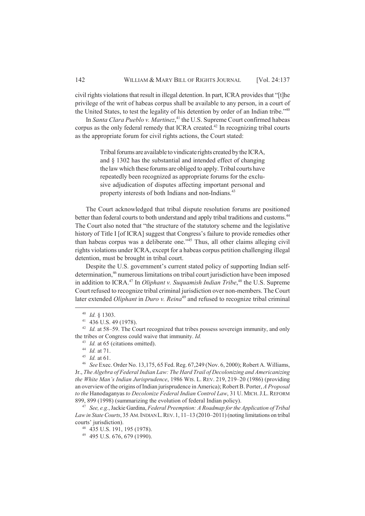civil rights violations that result in illegal detention. In part, ICRA provides that "[t]he privilege of the writ of habeas corpus shall be available to any person, in a court of the United States, to test the legality of his detention by order of an Indian tribe."<sup>40</sup>

In *Santa Clara Pueblo v. Martinez*, <sup>41</sup> the U.S. Supreme Court confirmed habeas corpus as the only federal remedy that ICRA created. <sup>42</sup> In recognizing tribal courts as the appropriate forum for civil rights actions, the Court stated:

> Tribal forums are available to vindicate rights created by the ICRA, and § 1302 has the substantial and intended effect of changing the law which these forums are obliged to apply. Tribal courts have repeatedly been recognized as appropriate forums for the exclusive adjudication of disputes affecting important personal and property interests of both Indians and non-Indians.<sup>43</sup>

The Court acknowledged that tribal dispute resolution forums are positioned better than federal courts to both understand and apply tribal traditions and customs.<sup>44</sup> The Court also noted that "the structure of the statutory scheme and the legislative history of Title I [of ICRA] suggest that Congress's failure to provide remedies other than habeas corpus was a deliberate one."<sup>45</sup> Thus, all other claims alleging civil rights violations under ICRA, except for a habeas corpus petition challenging illegal detention, must be brought in tribal court.

Despite the U.S. government's current stated policy of supporting Indian selfdetermination,<sup>46</sup> numerous limitations on tribal court jurisdiction have been imposed in addition to ICRA.<sup>47</sup> In *Oliphant v. Suquamish Indian Tribe*,<sup>48</sup> the U.S. Supreme Court refused to recognize tribal criminal jurisdiction over non-members. The Court later extended *Oliphant* in *Duro v. Reina*<sup>49</sup> and refused to recognize tribal criminal

<sup>47</sup> *See, e.g.*, Jackie Gardina, *Federal Preemption: A Roadmap for the Application of Tribal* Law in State Courts, 35 AM. INDIAN L. REV. 1, 11-13 (2010–2011) (noting limitations on tribal courts' jurisdiction).

<sup>40</sup> *Id.* § 1303.

 $41$  436 U.S. 49 (1978).

<sup>&</sup>lt;sup>42</sup> *Id.* at 58–59. The Court recognized that tribes possess sovereign immunity, and only the tribes or Congress could waive that immunity. *Id.*

<sup>&</sup>lt;sup>43</sup> *Id.* at 65 (citations omitted).

<sup>44</sup> *Id.* at 71.

<sup>45</sup> *Id.* at 61.

<sup>46</sup> *See* Exec. Order No. 13,175, 65 Fed. Reg. 67,249 (Nov. 6, 2000); Robert A. Williams, Jr., *The Algebra of Federal Indian Law: The Hard Trail of Decolonizing and Americanizing the White Man's Indian Jurisprudence*, 1986 WIS. L. REV. 219, 219–20 (1986) (providing an overview of the origins of Indian jurisprudence in America); Robert B. Porter, *A Proposal to the* Hanodaganyas *to Decolonize Federal Indian Control Law*, 31 U. MICH.J.L. REFORM 899, 899 (1998) (summarizing the evolution of federal Indian policy).

<sup>48</sup> 435 U.S. 191, 195 (1978).

<sup>49</sup> 495 U.S. 676, 679 (1990).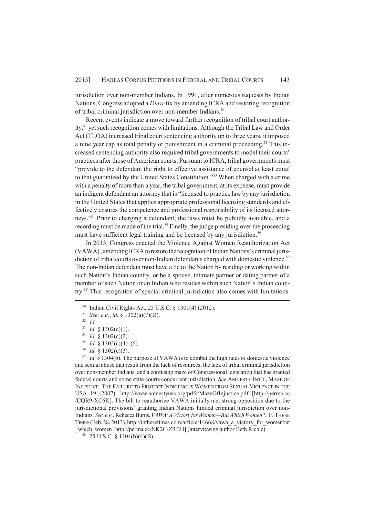jurisdiction over non-member Indians. In 1991, after numerous requests by Indian Nations, Congress adopted a *Duro*-fix by amending ICRA and restoring recognition of tribal criminal jurisdiction over non-member Indians.<sup>50</sup>

Recent events indicate a move toward further recognition of tribal court authority,<sup>51</sup> yet such recognition comes with limitations. Although the Tribal Law and Order Act (TLOA) increased tribal court sentencing authority up to three years, it imposed a nine year cap as total penalty or punishment in a criminal proceeding.<sup>52</sup> This increased sentencing authority also required tribal governments to model their courts' practices after those of American courts. Pursuant to ICRA, tribal governments must "provide to the defendant the right to effective assistance of counsel at least equal to that guaranteed by the United States Constitution."<sup>53</sup> When charged with a crime with a penalty of more than a year, the tribal government, at its expense, must provide an indigent defendant an attorney that is "licensed to practice law by any jurisdiction in the United States that applies appropriate professional licensing standards and effectively ensures the competence and professional responsibility of its licensed attorneys."<sup>54</sup> Prior to charging a defendant, the laws must be publicly available, and a recording must be made of the trial.<sup>55</sup> Finally, the judge presiding over the proceeding must have sufficient legal training and be licensed by any jurisdiction.<sup>56</sup>

In 2013, Congress enacted the Violence Against Women Reauthorization Act (VAWA) , amending ICRA to restore the recognition of Indian Nations's criminal jurisdiction of tribal courts over non-Indian defendants charged with domestic violence.<sup>57</sup> The non-Indian defendant must have a tie to the Nation by residing or working within such Nation's Indian country, or be a spouse, intimate partner or dating partner of a member of such Nation or an Indian who resides within such Nation's Indian country.<sup>58</sup> This recognition of special criminal jurisdiction also comes with limitations.

<sup>50</sup> Indian Civil Rights Act, 25 U.S.C. § 1301(4) (2012).

<sup>51</sup> *See, e.g.*, *id.* § 1302(a)(7)(D).

<sup>52</sup> *Id.*

<sup>53</sup> *Id.* § 1302(c)(1).

<sup>54</sup> *Id.* § 1302(c)(2).

<sup>55</sup> *Id.* § 1302(c)(4)–(5).

<sup>56</sup> *Id.* § 1302(c)(3).

<sup>57</sup> *Id.* § 1304(b). The purpose of VAWA is to combat the high rates of domestic violence and sexual abuse that result from the lack of resources, the lack of tribal criminal jurisdiction over non-member Indians, and a confusing maze of Congressional legislation that has granted federal courts and some state courts concurrent jurisdiction. *See* AMNESTY INT'L, MAZE OF INJUSTICE: THE FAILURE TO PROTECT INDIGENOUS WOMEN FROM SEXUAL VIOLENCE IN THE USA 19 (2007), http://www.amnestyusa.org/pdfs/MazeOfInjustice.pdf [http://perma.cc /CQR9-XC6K]. The bill to reauthorize VAWA initially met strong opposition due to the jurisdictional provisions' granting Indian Nations limited criminal jurisdiction over non-Indians. *See, e.g.*, Rebecca Burns, *VAWA: A Victory for Women—But Which Women?*, IN THESE TIMES (Feb. 28, 2013), http://inthesetimes.com/article/14668/vawa\_a\_victory\_for\_womenbut

which\_women [http://perma.cc/NK2C-ZRBH] (interviewing author Beth Richie).

 $58$  25 U.S.C. § 1304(b)(4)(B).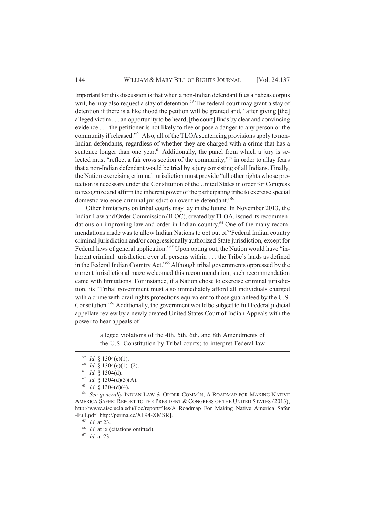Important for this discussion is that when a non-Indian defendant files a habeas corpus writ, he may also request a stay of detention.<sup>59</sup> The federal court may grant a stay of detention if there is a likelihood the petition will be granted and, "after giving [the] alleged victim . . . an opportunity to be heard, [the court] finds by clear and convincing evidence . . . the petitioner is not likely to flee or pose a danger to any person or the community if released."60 Also, all of the TLOA sentencing provisions apply to non-Indian defendants, regardless of whether they are charged with a crime that has a sentence longer than one year. $61$  Additionally, the panel from which a jury is selected must "reflect a fair cross section of the community,"<sup>62</sup> in order to allay fears that a non-Indian defendant would be tried by a jury consisting of all Indians. Finally, the Nation exercising criminal jurisdiction must provide "all other rights whose protection is necessary under the Constitution of the United States in order for Congress to recognize and affirm the inherent power of the participating tribe to exercise special domestic violence criminal jurisdiction over the defendant."<sup>63</sup>

Other limitations on tribal courts may lay in the future. In November 2013, the Indian Law and Order Commission (ILOC), created by TLOA, issued its recommendations on improving law and order in Indian country.<sup>64</sup> One of the many recommendations made was to allow Indian Nations to opt out of "Federal Indian country criminal jurisdiction and/or congressionally authorized State jurisdiction, except for Federal laws of general application."<sup>65</sup> Upon opting out, the Nation would have "inherent criminal jurisdiction over all persons within . . . the Tribe's lands as defined in the Federal Indian Country Act."<sup>66</sup> Although tribal governments oppressed by the current jurisdictional maze welcomed this recommendation, such recommendation came with limitations. For instance, if a Nation chose to exercise criminal jurisdiction, its "Tribal government must also immediately afford all individuals charged with a crime with civil rights protections equivalent to those guaranteed by the U.S. Constitution."<sup>67</sup> Additionally, the government would be subject to full Federal judicial appellate review by a newly created United States Court of Indian Appeals with the power to hear appeals of

> alleged violations of the 4th, 5th, 6th, and 8th Amendments of the U.S. Constitution by Tribal courts; to interpret Federal law

<sup>67</sup> *Id.* at 23.

<sup>59</sup> *Id.* § 1304(e)(1).

 $^{60}$  *Id.* § 1304(e)(1)–(2).

<sup>61</sup> *Id.* § 1304(d).

 $62$  *Id.* § 1304(d)(3)(A).

<sup>63</sup> *Id.* § 1304(d)(4).

<sup>64</sup> *See generally* INDIAN LAW & ORDER COMM'N, A ROADMAP FOR MAKING NATIVE AMERICA SAFER: REPORT TO THE PRESIDENT & CONGRESS OF THE UNITED STATES (2013), http://www.aisc.ucla.edu/iloc/report/files/A\_Roadmap\_For\_Making\_Native\_America\_Safer -Full.pdf [http://perma.cc/XF94-XMSR].

<sup>65</sup> *Id.* at 23.

<sup>&</sup>lt;sup>66</sup> *Id.* at ix (citations omitted).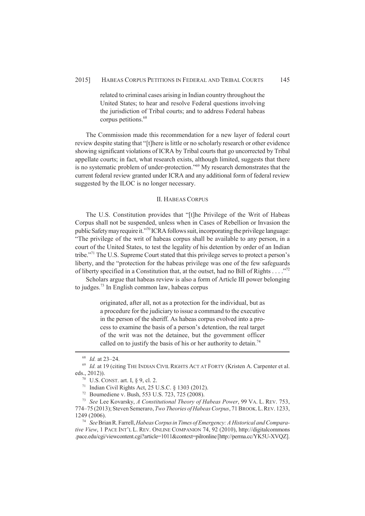related to criminal cases arising in Indian country throughout the United States; to hear and resolve Federal questions involving the jurisdiction of Tribal courts; and to address Federal habeas corpus petitions.<sup>68</sup>

The Commission made this recommendation for a new layer of federal court review despite stating that "[t]here is little or no scholarly research or other evidence showing significant violations of ICRA by Tribal courts that go uncorrected by Tribal appellate courts; in fact, what research exists, although limited, suggests that there is no systematic problem of under-protection."<sup>69</sup> My research demonstrates that the current federal review granted under ICRA and any additional form of federal review suggested by the ILOC is no longer necessary.

## II. HABEAS CORPUS

The U.S. Constitution provides that "[t]he Privilege of the Writ of Habeas Corpus shall not be suspended, unless when in Cases of Rebellion or Invasion the public Safety may require it."<sup>70</sup> ICRA follows suit, incorporating the privilege language: "The privilege of the writ of habeas corpus shall be available to any person, in a court of the United States, to test the legality of his detention by order of an Indian tribe."<sup>71</sup> The U.S. Supreme Court stated that this privilege serves to protect a person's liberty, and the "protection for the habeas privilege was one of the few safeguards of liberty specified in a Constitution that, at the outset, had no Bill of Rights . . . ."<sup>72</sup>

Scholars argue that habeas review is also a form of Article III power belonging to judges.<sup>73</sup> In English common law, habeas corpus

> originated, after all, not as a protection for the individual, but as a procedure for the judiciary to issue a command to the executive in the person of the sheriff. As habeas corpus evolved into a process to examine the basis of a person's detention, the real target of the writ was not the detainee, but the government officer called on to justify the basis of his or her authority to detain.<sup>74</sup>

<sup>68</sup> *Id.* at 23–24.

<sup>&</sup>lt;sup>69</sup> *Id.* at 19 (citing THE INDIAN CIVIL RIGHTS ACT AT FORTY (Kristen A. Carpenter et al. eds., 2012)).

<sup>70</sup> U.S. CONST. art. I, § 9, cl. 2.

<sup>71</sup> Indian Civil Rights Act, 25 U.S.C. § 1303 (2012).

<sup>72</sup> Boumediene v. Bush, 553 U.S. 723, 725 (2008).

<sup>73</sup> *See* Lee Kovarsky, *A Constitutional Theory of Habeas Power*, 99 VA. L. REV. 753, 774–75 (2013); Steven Semeraro, *Two Theories of Habeas Corpus*, 71 BROOK.L.REV. 1233, 1249 (2006).

<sup>74</sup> *See* Brian R. Farrell, *Habeas Corpus in Times of Emergency: A Historical and Comparative View*, 1 PACE INT'L L. REV. ONLINE COMPANION 74, 92 (2010), http://digitalcommons .pace.edu/cgi/viewcontent.cgi?article=1011&context=pilronline [http://perma.cc/YK5U-XVQZ].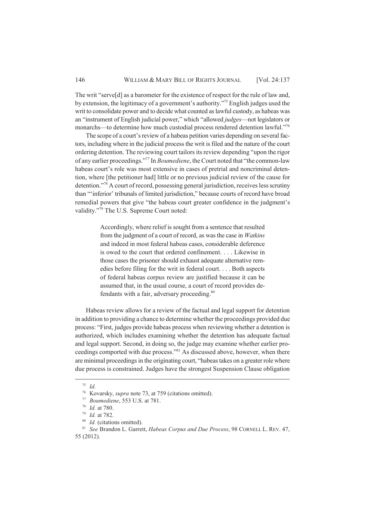The writ "serve[d] as a barometer for the existence of respect for the rule of law and, by extension, the legitimacy of a government's authority."<sup>75</sup> English judges used the writ to consolidate power and to decide what counted as lawful custody, as habeas was an "instrument of English judicial power," which "allowed *judges*—not legislators or monarchs—to determine how much custodial process rendered detention lawful."<sup>76</sup>

The scope of a court's review of a habeas petition varies depending on several factors, including where in the judicial process the writ is filed and the nature of the court ordering detention. The reviewing court tailors its review depending "upon the rigor of any earlier proceedings."<sup>77</sup> In *Boumediene*, the Court noted that "the common-law habeas court's role was most extensive in cases of pretrial and noncriminal detention, where [the petitioner had] little or no previous judicial review of the cause for detention."<sup>78</sup> A court of record, possessing general jurisdiction, receives less scrutiny than "'inferior' tribunals of limited jurisdiction," because courts of record have broad remedial powers that give "the habeas court greater confidence in the judgment's validity."<sup>79</sup> The U.S. Supreme Court noted:

> Accordingly, where relief is sought from a sentence that resulted from the judgment of a court of record, as was the case in *Watkins* and indeed in most federal habeas cases, considerable deference is owed to the court that ordered confinement. . . . Likewise in those cases the prisoner should exhaust adequate alternative remedies before filing for the writ in federal court. . . . Both aspects of federal habeas corpus review are justified because it can be assumed that, in the usual course, a court of record provides defendants with a fair, adversary proceeding.<sup>80</sup>

Habeas review allows for a review of the factual and legal support for detention in addition to providing a chance to determine whether the proceedings provided due process: "First, judges provide habeas process when reviewing whether a detention is authorized, which includes examining whether the detention has adequate factual and legal support. Second, in doing so, the judge may examine whether earlier proceedings comported with due process."<sup>81</sup> As discussed above, however, when there are minimal proceedings in the originating court, "habeas takes on a greater role where due process is constrained. Judges have the strongest Suspension Clause obligation

<sup>75</sup> *Id.*

<sup>76</sup> Kovarsky, *supra* note 73, at 759 (citations omitted).

<sup>77</sup> *Boumediene*, 553 U.S. at 781.

<sup>78</sup> *Id.* at 780.

<sup>79</sup> *Id.* at 782.

<sup>80</sup> *Id.* (citations omitted).

<sup>81</sup> *See* Brandon L. Garrett, *Habeas Corpus and Due Process*, 98 CORNELL L. REV. 47, 55 (2012).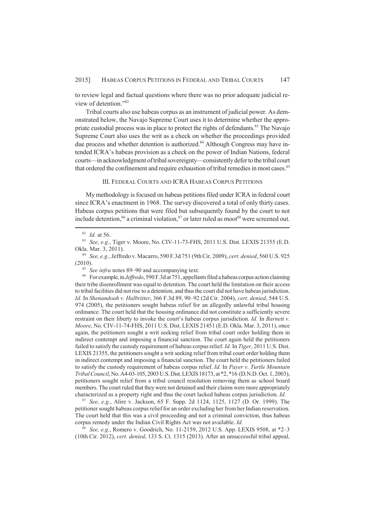to review legal and factual questions where there was no prior adequate judicial review of detention."<sup>82</sup>

Tribal courts also use habeas corpus as an instrument of judicial power. As demonstrated below, the Navajo Supreme Court uses it to determine whether the appropriate custodial process was in place to protect the rights of defendants.<sup>83</sup> The Navajo Supreme Court also uses the writ as a check on whether the proceedings provided due process and whether detention is authorized.<sup>84</sup> Although Congress may have intended ICRA's habeas provision as a check on the power of Indian Nations, federal courts—in acknowledgment of tribal sovereignty—consistently defer to the tribal court that ordered the confinement and require exhaustion of tribal remedies in most cases.<sup>85</sup>

#### III. FEDERAL COURTS AND ICRA HABEAS CORPUS PETITIONS

My methodology is focused on habeas petitions filed under ICRA in federal court since ICRA's enactment in 1968. The survey discovered a total of only thirty cases. Habeas corpus petitions that were filed but subsequently found by the court to not include detention.<sup>86</sup> a criminal violation, $87$  or later ruled as moot<sup>88</sup> were screened out.

<sup>86</sup> For example, in *Jeffredo*, 590 F.3d at 751, appellants filed a habeas corpus action claiming their tribe disenrollment was equal to detention. The court held the limitation on their access to tribal facilities did not rise to a detention, and thus the court did not have habeas jurisdiction. *Id.* In *Shenandoah v. Halbritter*, 366 F.3d 89, 90–92 (2d Cir. 2004), *cert. denied*, 544 U.S. 974 (2005), the petitioners sought habeas relief for an allegedly unlawful tribal housing ordinance. The court held that the housing ordinance did not constitute a sufficiently severe restraint on their liberty to invoke the court's habeas corpus jurisdiction. *Id.* In *Barnett v. Moore*, No. CIV-11-74-FHS, 2011 U.S. Dist. LEXIS 21451 (E.D. Okla. Mar. 3, 2011), once again, the petitioners sought a writ seeking relief from tribal court order holding them in indirect contempt and imposing a financial sanction. The court again held the petitioners failed to satisfy the custody requirement of habeas corpus relief. *Id.* In *Tiger*, 2011 U.S. Dist. LEXIS 21355, the petitioners sought a writ seeking relief from tribal court order holding them in indirect contempt and imposing a financial sanction. The court held the petitioners failed to satisfy the custody requirement of habeas corpus relief. *Id.* In *Payer v. Turtle Mountain Tribal Council*, No. A4-03-105, 2003 U.S. Dist. LEXIS 18173, at \*2, \*16 (D.N.D. Oct. 1, 2003), petitioners sought relief from a tribal council resolution removing them as school board members. The court ruled that they were not detained and their claims were more appropriately characterized as a property right and thus the court lacked habeas corpus jurisdiction. *Id.*

<sup>87</sup> *See, e.g.*, Alire v. Jackson, 65 F. Supp. 2d 1124, 1125, 1127 (D. Or. 1999). The petitioner sought habeas corpus relief for an order excluding her from her Indian reservation. The court held that this was a civil proceeding and not a criminal conviction, thus habeas corpus remedy under the Indian Civil Rights Act was not available. *Id.*

<sup>88</sup> *See, e.g.*, Romero v. Goodrich, No. 11-2159, 2012 U.S. App. LEXIS 9508, at \*2–3 (10th Cir. 2012), *cert. denied*, 133 S. Ct. 1315 (2013). After an unsuccessful tribal appeal,

<sup>82</sup> *Id.* at 56.

<sup>83</sup> *See, e.g.*, Tiger v. Moore, No. CIV-11-73-FHS, 2011 U.S. Dist. LEXIS 21355 (E.D. Okla. Mar. 3, 2011).

<sup>84</sup> *See, e.g.*, Jeffredo v. Macarro, 590 F.3d 751 (9th Cir. 2009), *cert. denied*, 560 U.S. 925 (2010).

<sup>85</sup> *See infra* notes 89–90 and accompanying text.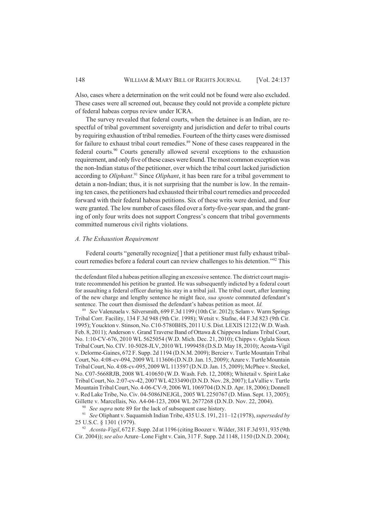Also, cases where a determination on the writ could not be found were also excluded. These cases were all screened out, because they could not provide a complete picture of federal habeas corpus review under ICRA.

The survey revealed that federal courts, when the detainee is an Indian, are respectful of tribal government sovereignty and jurisdiction and defer to tribal courts by requiring exhaustion of tribal remedies. Fourteen of the thirty cases were dismissed for failure to exhaust tribal court remedies.<sup>89</sup> None of these cases reappeared in the federal courts.<sup>90</sup> Courts generally allowed several exceptions to the exhaustion requirement, and only five of these cases were found. The most common exception was the non-Indian status of the petitioner, over which the tribal court lacked jurisdiction according to *Oliphant*. <sup>91</sup> Since *Oliphant*, it has been rare for a tribal government to detain a non-Indian; thus, it is not surprising that the number is low. In the remaining ten cases, the petitioners had exhausted their tribal court remedies and proceeded forward with their federal habeas petitions. Six of these writs were denied, and four were granted. The low number of cases filed over a forty-five-year span, and the granting of only four writs does not support Congress's concern that tribal governments committed numerous civil rights violations.

#### *A. The Exhaustion Requirement*

Federal courts "generally recognize<sup>[]</sup> that a petitioner must fully exhaust tribalcourt remedies before a federal court can review challenges to his detention."<sup>92</sup> This

<sup>90</sup> *See supra* note 89 for the lack of subsequent case history.

<sup>91</sup> *See* Oliphant v. Suquamish Indian Tribe, 435 U.S. 191, 211–12 (1978), *superseded by* 25 U.S.C. § 1301 (1979).

<sup>92</sup> *Acosta-Vigil*, 672 F. Supp. 2d at 1196 (citing Boozer v. Wilder, 381 F.3d 931, 935 (9th Cir. 2004)); *see also* Azure–Lone Fight v. Cain, 317 F. Supp. 2d 1148, 1150 (D.N.D. 2004);

the defendant filed a habeas petition alleging an excessive sentence. The district court magistrate recommended his petition be granted. He was subsequently indicted by a federal court for assaulting a federal officer during his stay in a tribal jail. The tribal court, after learning of the new charge and lengthy sentence he might face, *sua sponte* commuted defendant's sentence. The court then dismissed the defendant's habeas petition as moot. *Id.*

<sup>89</sup> *See* Valenzuela v. Silversmith, 699 F.3d 1199 (10th Cir. 2012); Selam v. Warm Springs Tribal Corr. Facility, 134 F.3d 948 (9th Cir. 1998); Wetsit v. Stafne, 44 F.3d 823 (9th Cir. 1995); Youckton v. Stinson, No. C10-5780BHS, 2011 U.S. Dist. LEXIS 12122 (W.D. Wash. Feb. 8, 2011); Anderson v. Grand Traverse Band of Ottawa & Chippewa Indians Tribal Court, No. 1:10-CV-676, 2010 WL 5625054 (W.D. Mich. Dec. 21, 2010); Chipps v. Oglala Sioux Tribal Court, No. CIV. 10-5028-JLV, 2010 WL 1999458 (D.S.D. May 18, 2010); Acosta-Vigil v. Delorme-Gaines, 672 F. Supp. 2d 1194 (D.N.M. 2009); Bercier v. Turtle Mountain Tribal Court, No. 4:08-cv-094, 2009 WL 113606 (D.N.D. Jan. 15, 2009); Azure v. Turtle Mountain Tribal Court, No. 4:08-cv-095, 2009 WL 113597 (D.N.D. Jan. 15, 2009); McPhee v. Steckel, No. C07-5668RJB, 2008 WL 410650 (W.D. Wash. Feb. 12, 2008); Whitetail v. Spirit Lake Tribal Court, No. 2:07-cv-42, 2007 WL 4233490 (D.N.D. Nov. 28, 2007); LaVallie v. Turtle Mountain Tribal Court, No. 4-06-CV-9, 2006 WL 1069704 (D.N.D. Apr. 18, 2006); Donnell v. Red Lake Tribe, No. Civ. 04-5086JNEJGL, 2005 WL 2250767 (D. Minn. Sept. 13, 2005); Gillette v. Marcellais, No. A4-04-123, 2004 WL 2677268 (D.N.D. Nov. 22, 2004).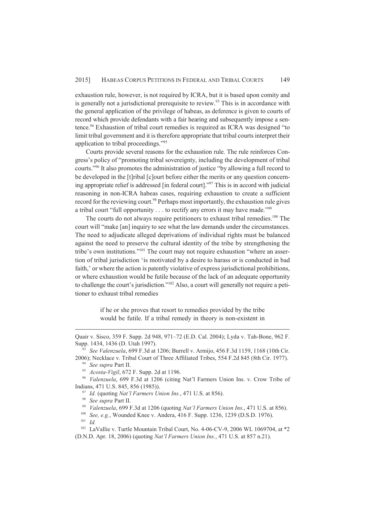exhaustion rule, however, is not required by ICRA, but it is based upon comity and is generally not a jurisdictional prerequisite to review.<sup>93</sup> This is in accordance with the general application of the privilege of habeas, as deference is given to courts of record which provide defendants with a fair hearing and subsequently impose a sentence.<sup>94</sup> Exhaustion of tribal court remedies is required as ICRA was designed "to limit tribal government and it is therefore appropriate that tribal courts interpret their application to tribal proceedings."<sup>95</sup>

Courts provide several reasons for the exhaustion rule. The rule reinforces Congress's policy of "promoting tribal sovereignty, including the development of tribal courts."<sup>96</sup> It also promotes the administration of justice "by allowing a full record to be developed in the [t]ribal [c]ourt before either the merits or any question concerning appropriate relief is addressed [in federal court]."<sup>97</sup> This is in accord with judicial reasoning in non-ICRA habeas cases, requiring exhaustion to create a sufficient record for the reviewing court.<sup>98</sup> Perhaps most importantly, the exhaustion rule gives a tribal court "full opportunity . . . to rectify any errors it may have made."<sup>99</sup>

The courts do not always require petitioners to exhaust tribal remedies.<sup>100</sup> The court will "make [an] inquiry to see what the law demands under the circumstances. The need to adjudicate alleged deprivations of individual rights must be balanced against the need to preserve the cultural identity of the tribe by strengthening the tribe's own institutions."101 The court may not require exhaustion "where an assertion of tribal jurisdiction 'is motivated by a desire to harass or is conducted in bad faith,' or where the action is patently violative of express jurisdictional prohibitions, or where exhaustion would be futile because of the lack of an adequate opportunity to challenge the court's jurisdiction."102 Also, a court will generally not require a petitioner to exhaust tribal remedies

> if he or she proves that resort to remedies provided by the tribe would be futile. If a tribal remedy in theory is non-existent in

Quair v. Sisco, 359 F. Supp. 2d 948, 971–72 (E.D. Cal. 2004); Lyda v. Tah-Bone, 962 F. Supp. 1434, 1436 (D. Utah 1997).

<sup>93</sup> *See Valenzuela*, 699 F.3d at 1206; Burrell v. Armijo, 456 F.3d 1159, 1168 (10th Cir. 2006); Necklace v. Tribal Court of Three Affiliated Tribes, 554 F.2d 845 (8th Cir. 1977).

<sup>94</sup> *See supra* Part II.

<sup>95</sup> *Acosta-Vigil*, 672 F. Supp. 2d at 1196.

<sup>96</sup> *Valenzuela*, 699 F.3d at 1206 (citing Nat'l Farmers Union Ins. v. Crow Tribe of Indians, 471 U.S. 845, 856 (1985)).

<sup>97</sup> *Id.* (quoting *Nat'l Farmers Union Ins.*, 471 U.S. at 856).

<sup>98</sup> *See supra* Part II.

<sup>99</sup> *Valenzuela*, 699 F.3d at 1206 (quoting *Nat'l Farmers Union Ins.*, 471 U.S. at 856).

<sup>100</sup> *See, e.g.*, Wounded Knee v. Andera, 416 F. Supp. 1236, 1239 (D.S.D. 1976). <sup>101</sup> *Id.*

<sup>&</sup>lt;sup>102</sup> LaVallie v. Turtle Mountain Tribal Court, No. 4-06-CV-9, 2006 WL 1069704, at \*2 (D.N.D. Apr. 18, 2006) (quoting *Nat'l Farmers Union Ins.*, 471 U.S. at 857 n.21).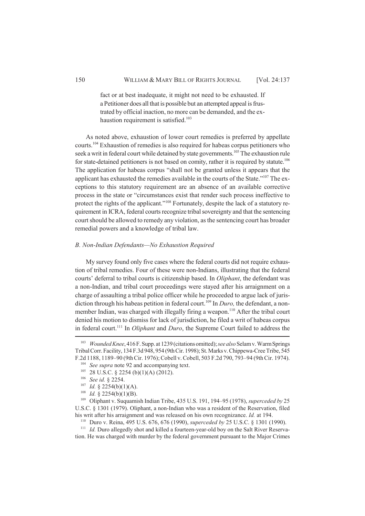fact or at best inadequate, it might not need to be exhausted. If a Petitioner does all that is possible but an attempted appeal is frustrated by official inaction, no more can be demanded, and the exhaustion requirement is satisfied.<sup>103</sup>

As noted above, exhaustion of lower court remedies is preferred by appellate courts.<sup>104</sup> Exhaustion of remedies is also required for habeas corpus petitioners who seek a writ in federal court while detained by state governments.<sup>105</sup> The exhaustion rule for state-detained petitioners is not based on comity, rather it is required by statute.<sup>106</sup> The application for habeas corpus "shall not be granted unless it appears that the applicant has exhausted the remedies available in the courts of the State."<sup>107</sup> The exceptions to this statutory requirement are an absence of an available corrective process in the state or "circumstances exist that render such process ineffective to protect the rights of the applicant."<sup>108</sup> Fortunately, despite the lack of a statutory requirement in ICRA, federal courts recognize tribal sovereignty and that the sentencing court should be allowed to remedy any violation, as the sentencing court has broader remedial powers and a knowledge of tribal law.

#### *B. Non-Indian Defendants—No Exhaustion Required*

My survey found only five cases where the federal courts did not require exhaustion of tribal remedies. Four of these were non-Indians, illustrating that the federal courts' deferral to tribal courts is citizenship based. In *Oliphant*, the defendant was a non-Indian, and tribal court proceedings were stayed after his arraignment on a charge of assaulting a tribal police officer while he proceeded to argue lack of jurisdiction through his habeas petition in federal court.<sup>109</sup> In *Duro*, the defendant, a nonmember Indian, was charged with illegally firing a weapon.<sup>110</sup> After the tribal court denied his motion to dismiss for lack of jurisdiction, he filed a writ of habeas corpus in federal court.<sup>111</sup> In *Oliphant* and *Duro*, the Supreme Court failed to address the

<sup>103</sup> *Wounded Knee*, 416 F. Supp. at 1239 (citations omitted); *see also* Selam v. Warm Springs Tribal Corr. Facility, 134 F.3d 948, 954 (9th Cir. 1998); St. Marks v. Chippewa-Cree Tribe, 545 F.2d 1188, 1189–90 (9th Cir. 1976); Cobell v. Cobell, 503 F.2d 790, 793–94 (9th Cir. 1974).

<sup>&</sup>lt;sup>104</sup> *See supra* note 92 and accompanying text.

<sup>105</sup> 28 U.S.C. § 2254 (b)(1)(A) (2012).

<sup>106</sup> *See id.* § 2254.

<sup>107</sup> *Id.* § 2254(b)(1)(A).

<sup>108</sup> *Id.* § 2254(b)(1)(B).

<sup>109</sup> Oliphant v. Suquamish Indian Tribe, 435 U.S. 191, 194–95 (1978), *superceded by* 25 U.S.C. § 1301 (1979). Oliphant, a non-Indian who was a resident of the Reservation, filed his writ after his arraignment and was released on his own recognizance. *Id.* at 194.

<sup>110</sup> Duro v. Reina, 495 U.S. 676, 676 (1990), *superceded by* 25 U.S.C. § 1301 (1990).

<sup>&</sup>lt;sup>111</sup> *Id.* Duro allegedly shot and killed a fourteen-year-old boy on the Salt River Reservation. He was charged with murder by the federal government pursuant to the Major Crimes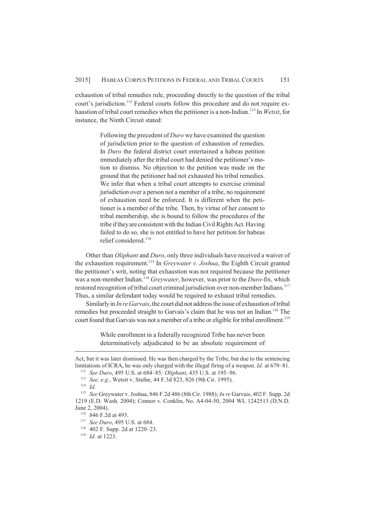exhaustion of tribal remedies rule, proceeding directly to the question of the tribal court's jurisdiction.<sup>112</sup> Federal courts follow this procedure and do not require exhaustion of tribal court remedies when the petitioner is a non-Indian.<sup>113</sup> In *Wetsit*, for instance, the Ninth Circuit stated:

> Following the precedent of *Duro* we have examined the question of jurisdiction prior to the question of exhaustion of remedies. In *Duro* the federal district court entertained a habeas petition immediately after the tribal court had denied the petitioner's motion to dismiss. No objection to the petition was made on the ground that the petitioner had not exhausted his tribal remedies. We infer that when a tribal court attempts to exercise criminal jurisdiction over a person not a member of a tribe, no requirement of exhaustion need be enforced. It is different when the petitioner is a member of the tribe. Then, by virtue of her consent to tribal membership, she is bound to follow the procedures of the tribe if they are consistent with the Indian Civil Rights Act. Having failed to do so, she is not entitled to have her petition for habeas relief considered.<sup>114</sup>

Other than *Oliphant* and *Duro*, only three individuals have received a waiver of the exhaustion requirement.<sup>115</sup> In *Greywater v. Joshua*, the Eighth Circuit granted the petitioner's writ, noting that exhaustion was not required because the petitioner was a non-member Indian.<sup>116</sup> *Greywater*, however, was prior to the *Duro*-fix, which restored recognition of tribal court criminal jurisdiction over non-member Indians.<sup>117</sup> Thus, a similar defendant today would be required to exhaust tribal remedies.

Similarly in *In re Garvais*, the court did not address the issue of exhaustion of tribal remedies but proceeded straight to Garvais's claim that he was not an Indian.<sup>118</sup> The court found that Garvais was not a member of a tribe or eligible for tribal enrollment.<sup>119</sup>

> While enrollment in a federally recognized Tribe has never been determinatively adjudicated to be an absolute requirement of

Act, but it was later dismissed. He was then charged by the Tribe, but due to the sentencing limitations of ICRA, he was only charged with the illegal firing of a weapon. *Id.* at 679–81.

<sup>112</sup> *See Duro*, 495 U.S. at 684–85*; Oliphant*, 435 U.S. at 195–96.

<sup>113</sup> *See, e.g.*, Wetsit v. Stafne, 44 F.3d 823, 826 (9th Cir. 1995).

<sup>114</sup> *Id.*

<sup>115</sup> *See* Greywater v. Joshua, 846 F.2d 486 (8th Cir. 1988); *In re* Garvais, 402 F. Supp. 2d 1219 (E.D. Wash. 2004); Connor v. Conklin, No. A4-04-50, 2004 WL 1242513 (D.N.D. June 2, 2004).

<sup>116</sup> 846 F.2d at 493.

<sup>117</sup> *See Duro*, 495 U.S. at 684.

<sup>118</sup> 402 F. Supp. 2d at 1220–23.

<sup>119</sup> *Id.* at 1223.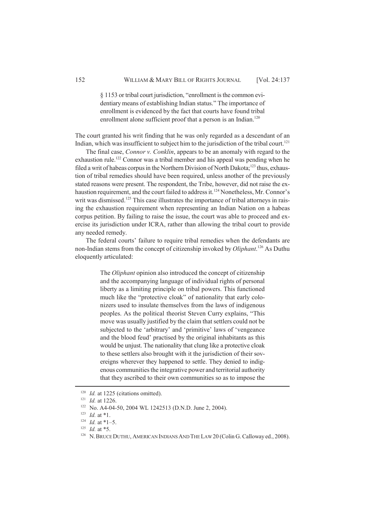§ 1153 or tribal court jurisdiction, "enrollment is the common evidentiary means of establishing Indian status." The importance of enrollment is evidenced by the fact that courts have found tribal enrollment alone sufficient proof that a person is an Indian.<sup>120</sup>

The court granted his writ finding that he was only regarded as a descendant of an Indian, which was insufficient to subject him to the jurisdiction of the tribal court.<sup>121</sup>

The final case, *Connor v. Conklin*, appears to be an anomaly with regard to the exhaustion rule.<sup>122</sup> Connor was a tribal member and his appeal was pending when he filed a writ of habeas corpus in the Northern Division of North Dakota;<sup>123</sup> thus, exhaustion of tribal remedies should have been required, unless another of the previously stated reasons were present. The respondent, the Tribe, however, did not raise the exhaustion requirement, and the court failed to address it.<sup>124</sup> Nonetheless, Mr. Connor's writ was dismissed.<sup>125</sup> This case illustrates the importance of tribal attorneys in raising the exhaustion requirement when representing an Indian Nation on a habeas corpus petition. By failing to raise the issue, the court was able to proceed and exercise its jurisdiction under ICRA, rather than allowing the tribal court to provide any needed remedy.

The federal courts' failure to require tribal remedies when the defendants are non-Indian stems from the concept of citizenship invoked by *Oliphant*. <sup>126</sup> As Duthu eloquently articulated:

> The *Oliphant* opinion also introduced the concept of citizenship and the accompanying language of individual rights of personal liberty as a limiting principle on tribal powers. This functioned much like the "protective cloak" of nationality that early colonizers used to insulate themselves from the laws of indigenous peoples. As the political theorist Steven Curry explains, "This move was usually justified by the claim that settlers could not be subjected to the 'arbitrary' and 'primitive' laws of 'vengeance and the blood feud' practised by the original inhabitants as this would be unjust. The nationality that clung like a protective cloak to these settlers also brought with it the jurisdiction of their sovereigns wherever they happened to settle. They denied to indigenous communities the integrative power and territorial authority that they ascribed to their own communities so as to impose the

<sup>&</sup>lt;sup>120</sup> *Id.* at 1225 (citations omitted).

<sup>121</sup> *Id.* at 1226.

<sup>&</sup>lt;sup>122</sup> No. A4-04-50, 2004 WL 1242513 (D.N.D. June 2, 2004).

*Id.* at \*1.

 $124$  *Id.* at \*1-5.

 $125$  *Id.* at  $*5$ .

<sup>&</sup>lt;sup>126</sup> N. BRUCE DUTHU, AMERICAN INDIANS AND THE LAW 20 (Colin G. Calloway ed., 2008).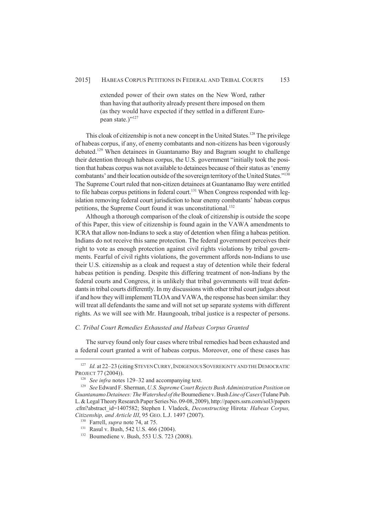extended power of their own states on the New Word, rather than having that authority already present there imposed on them (as they would have expected if they settled in a different European state.)"<sup>127</sup>

This cloak of citizenship is not a new concept in the United States.<sup>128</sup> The privilege of habeas corpus, if any, of enemy combatants and non-citizens has been vigorously debated.<sup>129</sup> When detainees in Guantanamo Bay and Bagram sought to challenge their detention through habeas corpus, the U.S. government "initially took the position that habeas corpus was not available to detainees because of their status as 'enemy combatants' and their location outside of the sovereign territory of the United States."<sup>130</sup> The Supreme Court ruled that non-citizen detainees at Guantanamo Bay were entitled to file habeas corpus petitions in federal court.<sup>131</sup> When Congress responded with legislation removing federal court jurisdiction to hear enemy combatants' habeas corpus petitions, the Supreme Court found it was unconstitutional.<sup>132</sup>

Although a thorough comparison of the cloak of citizenship is outside the scope of this Paper, this view of citizenship is found again in the VAWA amendments to ICRA that allow non-Indians to seek a stay of detention when filing a habeas petition. Indians do not receive this same protection. The federal government perceives their right to vote as enough protection against civil rights violations by tribal governments. Fearful of civil rights violations, the government affords non-Indians to use their U.S. citizenship as a cloak and request a stay of detention while their federal habeas petition is pending. Despite this differing treatment of non-Indians by the federal courts and Congress, it is unlikely that tribal governments will treat defendants in tribal courts differently. In my discussions with other tribal court judges about if and how they will implement TLOA and VAWA, the response has been similar: they will treat all defendants the same and will not set up separate systems with different rights. As we will see with Mr. Haungooah, tribal justice is a respecter of persons.

#### *C. Tribal Court Remedies Exhausted and Habeas Corpus Granted*

The survey found only four cases where tribal remedies had been exhausted and a federal court granted a writ of habeas corpus. Moreover, one of these cases has

<sup>&</sup>lt;sup>127</sup> *Id.* at 22–23 (citing STEVEN CURRY, INDIGENOUS SOVEREIGNTY AND THE DEMOCRATIC PROJECT 77 (2004)).

<sup>128</sup> *See infra* notes 129–32 and accompanying text.

<sup>129</sup> *See* Edward F. Sherman, *U.S. Supreme Court Rejects Bush Administration Position on Guantanamo Detainees: The Watershed of the* Boumediene v. Bush *Line of Cases* (Tulane Pub. L. & Legal Theory Research Paper Series No. 09-08, 2009), http://papers.ssrn.com/sol3/papers .cfm?abstract\_id=1407582; Stephen I. Vladeck, *Deconstructing* Hirota*: Habeas Corpus, Citizenship, and Article III*, 95 GEO. L.J. 1497 (2007).

<sup>130</sup> Farrell, *supra* note 74, at 75.

<sup>131</sup> Rasul v. Bush, 542 U.S. 466 (2004).

<sup>132</sup> Boumediene v. Bush, 553 U.S. 723 (2008).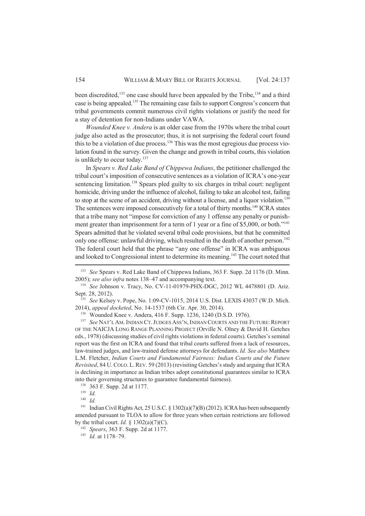been discredited,<sup>133</sup> one case should have been appealed by the Tribe,<sup>134</sup> and a third case is being appealed.<sup>135</sup> The remaining case fails to support Congress's concern that tribal governments commit numerous civil rights violations or justify the need for a stay of detention for non-Indians under VAWA.

*Wounded Knee v. Andera* is an older case from the 1970s where the tribal court judge also acted as the prosecutor; thus, it is not surprising the federal court found this to be a violation of due process.<sup>136</sup> This was the most egregious due process violation found in the survey. Given the change and growth in tribal courts, this violation is unlikely to occur today.<sup>137</sup>

In *Spears v. Red Lake Band of Chippewa Indians*, the petitioner challenged the tribal court's imposition of consecutive sentences as a violation of ICRA's one-year sentencing limitation.<sup>138</sup> Spears pled guilty to six charges in tribal court: negligent homicide, driving under the influence of alcohol, failing to take an alcohol test, failing to stop at the scene of an accident, driving without a license, and a liquor violation.<sup>139</sup> The sentences were imposed consecutively for a total of thirty months.<sup>140</sup> ICRA states that a tribe many not "impose for conviction of any 1 offense any penalty or punishment greater than imprisonment for a term of 1 year or a fine of \$5,000, or both."<sup>141</sup> Spears admitted that he violated several tribal code provisions, but that he committed only one offense: unlawful driving, which resulted in the death of another person.<sup>142</sup> The federal court held that the phrase "any one offense" in ICRA was ambiguous and looked to Congressional intent to determine its meaning.<sup>143</sup> The court noted that

<sup>133</sup> *See* Spears v. Red Lake Band of Chippewa Indians, 363 F. Supp. 2d 1176 (D. Minn. 2005); *see also infra* notes 138–47 and accompanying text.

<sup>134</sup> *See* Johnson v. Tracy, No. CV-11-01979-PHX-DGC, 2012 WL 4478801 (D. Ariz. Sept. 28, 2012).

<sup>135</sup> *See* Kelsey v. Pope, No. 1:09-CV-1015, 2014 U.S. Dist. LEXIS 43037 (W.D. Mich. 2014), *appeal docketed*, No. 14-1537 (6th Cir. Apr. 30, 2014).

<sup>136</sup> Wounded Knee v. Andera, 416 F. Supp. 1236, 1240 (D.S.D. 1976).

<sup>&</sup>lt;sup>137</sup> See NAT'L AM. INDIAN CT. JUDGES ASS'N, INDIAN COURTS AND THE FUTURE: REPORT OF THE NAICJA LONG RANGE PLANNING PROJECT (Orville N. Olney & David H. Getches eds., 1978) (discussing studies of civil rights violations in federal courts). Getches's seminal report was the first on ICRA and found that tribal courts suffered from a lack of resources, law-trained judges, and law-trained defense attorneys for defendants. *Id. See also* Matthew L.M. Fletcher, *Indian Courts and Fundamental Fairness: Indian Courts and the Future Revisited*, 84 U.COLO. L.REV. 59 (2013) (revisiting Getches's study and arguing that ICRA is declining in importance as Indian tribes adopt constitutional guarantees similar to ICRA into their governing structures to guarantee fundamental fairness).

<sup>138</sup> 363 F. Supp. 2d at 1177.

 $\frac{139}{140}$  *Id.* 

*Id.* 

<sup>&</sup>lt;sup>141</sup> Indian Civil Rights Act, 25 U.S.C. § 1302(a)(7)(B) (2012). ICRA has been subsequently amended pursuant to TLOA to allow for three years when certain restrictions are followed by the tribal court. *Id.* §  $1302(a)(7)(C)$ .

<sup>142</sup> *Spears*, 363 F. Supp. 2d at 1177.

 $^{143}$  *Id.* at 1178–79.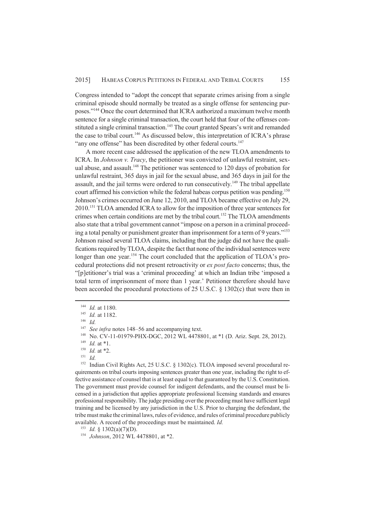Congress intended to "adopt the concept that separate crimes arising from a single criminal episode should normally be treated as a single offense for sentencing purposes."<sup>144</sup> Once the court determined that ICRA authorized a maximum twelve month sentence for a single criminal transaction, the court held that four of the offenses constituted a single criminal transaction.<sup>145</sup> The court granted Spears's writ and remanded the case to tribal court.<sup>146</sup> As discussed below, this interpretation of ICRA's phrase "any one offense" has been discredited by other federal courts.<sup>147</sup>

A more recent case addressed the application of the new TLOA amendments to ICRA. In *Johnson v. Tracy*, the petitioner was convicted of unlawful restraint, sexual abuse, and assault.<sup>148</sup> The petitioner was sentenced to 120 days of probation for unlawful restraint, 365 days in jail for the sexual abuse, and 365 days in jail for the assault, and the jail terms were ordered to run consecutively.<sup>149</sup> The tribal appellate court affirmed his conviction while the federal habeas corpus petition was pending.<sup>150</sup> Johnson's crimes occurred on June 12, 2010, and TLOA became effective on July 29, 2010.<sup>151</sup> TLOA amended ICRA to allow for the imposition of three year sentences for crimes when certain conditions are met by the tribal court.<sup>152</sup> The TLOA amendments also state that a tribal government cannot "impose on a person in a criminal proceeding a total penalty or punishment greater than imprisonment for a term of 9 years."<sup>153</sup> Johnson raised several TLOA claims, including that the judge did not have the qualifications required by TLOA, despite the fact that none of the individual sentences were longer than one year.<sup>154</sup> The court concluded that the application of TLOA's procedural protections did not present retroactivity or *ex post facto* concerns; thus, the "[p]etitioner's trial was a 'criminal proceeding' at which an Indian tribe 'imposed a total term of imprisonment of more than 1 year.' Petitioner therefore should have been accorded the procedural protections of 25 U.S.C. § 1302(c) that were then in

<sup>146</sup> *Id.*

 $\frac{150}{151}$  *Id.* at \*2.

Indian Civil Rights Act, 25 U.S.C. § 1302(c). TLOA imposed several procedural requirements on tribal courts imposing sentences greater than one year, including the right to effective assistance of counsel that is at least equal to that guaranteed by the U.S. Constitution. The government must provide counsel for indigent defendants, and the counsel must be licensed in a jurisdiction that applies appropriate professional licensing standards and ensures professional responsibility. The judge presiding over the proceeding must have sufficient legal training and be licensed by any jurisdiction in the U.S. Prior to charging the defendant, the tribe must make the criminal laws, rules of evidence, and rules of criminal procedure publicly available. A record of the proceedings must be maintained. *Id.*

<sup>144</sup> *Id.* at 1180.

<sup>145</sup> *Id.* at 1182.

<sup>&</sup>lt;sup>147</sup> *See infra* notes 148–56 and accompanying text.

<sup>148</sup> No. CV-11-01979-PHX-DGC, 2012 WL 4478801, at \*1 (D. Ariz. Sept. 28, 2012).

<sup>149</sup> *Id.* at \*1.

 $\frac{151}{152}$  *Id.* 

<sup>&</sup>lt;sup>153</sup> *Id.* § 1302(a)(7)(D).

<sup>154</sup> *Johnson*, 2012 WL 4478801, at \*2.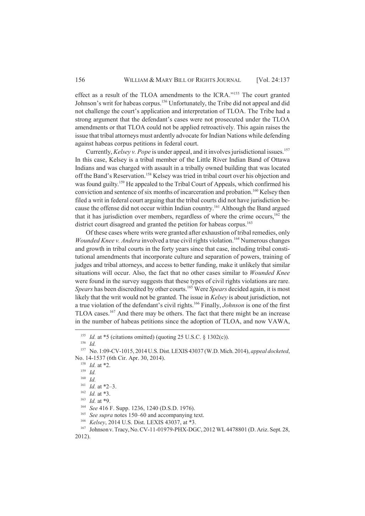effect as a result of the TLOA amendments to the ICRA."<sup>155</sup> The court granted Johnson's writ for habeas corpus.<sup>156</sup> Unfortunately, the Tribe did not appeal and did not challenge the court's application and interpretation of TLOA. The Tribe had a strong argument that the defendant's cases were not prosecuted under the TLOA amendments or that TLOA could not be applied retroactively. This again raises the issue that tribal attorneys must ardently advocate for Indian Nations while defending against habeas corpus petitions in federal court.

Currently, *Kelsey v. Pope* is under appeal, and it involves jurisdictional issues.<sup>157</sup> In this case, Kelsey is a tribal member of the Little River Indian Band of Ottawa Indians and was charged with assault in a tribally owned building that was located off the Band's Reservation.<sup>158</sup> Kelsey was tried in tribal court over his objection and was found guilty.<sup>159</sup> He appealed to the Tribal Court of Appeals, which confirmed his conviction and sentence of six months of incarceration and probation.<sup>160</sup> Kelsey then filed a writ in federal court arguing that the tribal courts did not have jurisdiction because the offense did not occur within Indian country.<sup>161</sup> Although the Band argued that it has jurisdiction over members, regardless of where the crime occurs,<sup>162</sup> the district court disagreed and granted the petition for habeas corpus.<sup>163</sup>

Of these cases where writs were granted after exhaustion of tribal remedies, only *Wounded Knee v. Andera* involved a true civil rights violation.<sup>164</sup> Numerous changes and growth in tribal courts in the forty years since that case, including tribal constitutional amendments that incorporate culture and separation of powers, training of judges and tribal attorneys, and access to better funding, make it unlikely that similar situations will occur. Also, the fact that no other cases similar to *Wounded Knee* were found in the survey suggests that these types of civil rights violations are rare. *Spears* has been discredited by other courts.<sup>165</sup> Were *Spears* decided again, it is most likely that the writ would not be granted. The issue in *Kelsey* is about jurisdiction, not a true violation of the defendant's civil rights.<sup>166</sup> Finally, *Johnson* is one of the first TLOA cases.<sup>167</sup> And there may be others. The fact that there might be an increase in the number of habeas petitions since the adoption of TLOA, and now VAWA,

<sup>&</sup>lt;sup>155</sup> *Id.* at \*5 (citations omitted) (quoting 25 U.S.C. § 1302(c)).

<sup>156</sup> *Id.*

<sup>157</sup> No. 1:09-CV-1015, 2014 U.S. Dist. LEXIS 43037 (W.D. Mich. 2014), *appeal docketed*, No. 14-1537 (6th Cir. Apr. 30, 2014).

<sup>158</sup> *Id.* at \*2.

<sup>159</sup> *Id.*

<sup>160</sup> *Id.*

<sup>161</sup> *Id.* at \*2–3.

<sup>162</sup> *Id.* at \*3.

<sup>163</sup> *Id.* at \*9.

<sup>164</sup> *See* 416 F. Supp. 1236, 1240 (D.S.D. 1976).

<sup>&</sup>lt;sup>165</sup> *See supra* notes 150–60 and accompanying text.

<sup>166</sup> *Kelsey*, 2014 U.S. Dist. LEXIS 43037, at \*3.

<sup>167</sup> Johnson v. Tracy, No. CV-11-01979-PHX-DGC, 2012 WL 4478801 (D. Ariz. Sept. 28, 2012).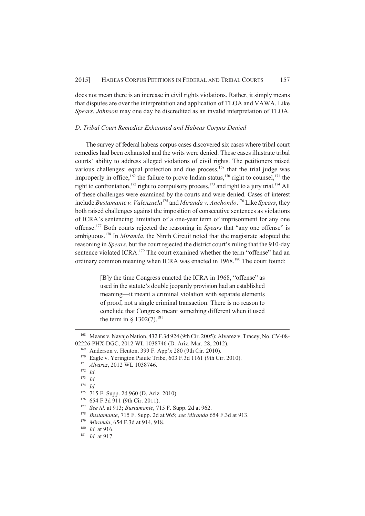does not mean there is an increase in civil rights violations. Rather, it simply means that disputes are over the interpretation and application of TLOA and VAWA. Like *Spears*, *Johnson* may one day be discredited as an invalid interpretation of TLOA.

## *D. Tribal Court Remedies Exhausted and Habeas Corpus Denied*

The survey of federal habeas corpus cases discovered six cases where tribal court remedies had been exhausted and the writs were denied. These cases illustrate tribal courts' ability to address alleged violations of civil rights. The petitioners raised various challenges: equal protection and due process, $168$  that the trial judge was improperly in office,<sup>169</sup> the failure to prove Indian status,<sup>170</sup> right to counsel,<sup>171</sup> the right to confrontation,<sup>172</sup> right to compulsory process,<sup>173</sup> and right to a jury trial.<sup>174</sup> All of these challenges were examined by the courts and were denied. Cases of interest include *Bustamante v. Valenzuela*<sup>175</sup> and *Miranda v. Anchondo*. <sup>176</sup> Like *Spears*, they both raised challenges against the imposition of consecutive sentences as violations of ICRA's sentencing limitation of a one-year term of imprisonment for any one offense.<sup>177</sup> Both courts rejected the reasoning in *Spears* that "any one offense" is ambiguous.<sup>178</sup> In *Miranda*, the Ninth Circuit noted that the magistrate adopted the reasoning in *Spears*, but the court rejected the district court's ruling that the 910-day sentence violated ICRA.<sup>179</sup> The court examined whether the term "offense" had an ordinary common meaning when ICRA was enacted in 1968.<sup>180</sup> The court found:

> [B]y the time Congress enacted the ICRA in 1968, "offense" as used in the statute's double jeopardy provision had an established meaning—it meant a criminal violation with separate elements of proof, not a single criminal transaction. There is no reason to conclude that Congress meant something different when it used the term in §  $1302(7).^{181}$

<sup>168</sup> Means v. Navajo Nation, 432 F.3d 924 (9th Cir. 2005); Alvarez v. Tracey, No. CV-08- 02226-PHX-DGC, 2012 WL 1038746 (D. Ariz. Mar. 28, 2012).

<sup>169</sup> Anderson v. Henton, 399 F. App'x 280 (9th Cir. 2010).

<sup>170</sup> Eagle v. Yerington Paiute Tribe, 603 F.3d 1161 (9th Cir. 2010).

<sup>171</sup> *Alvarez*, 2012 WL 1038746.

<sup>172</sup> *Id.*

<sup>173</sup> *Id.*

<sup>174</sup> *Id.*

<sup>175</sup> 715 F. Supp. 2d 960 (D. Ariz. 2010).

<sup>176</sup> 654 F.3d 911 (9th Cir. 2011).

<sup>177</sup> *See id.* at 913; *Bustamante*, 715 F. Supp. 2d at 962.

<sup>178</sup> *Bustamante*, 715 F. Supp. 2d at 965; *see Miranda* 654 F.3d at 913.

<sup>179</sup> *Miranda*, 654 F.3d at 914, 918.

<sup>180</sup> *Id.* at 916.

<sup>181</sup> *Id.* at 917.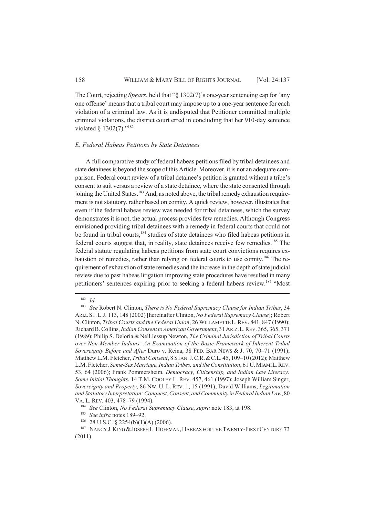The Court, rejecting *Spears*, held that "§ 1302(7)'s one-year sentencing cap for 'any one offense' means that a tribal court may impose up to a one-year sentence for each violation of a criminal law. As it is undisputed that Petitioner committed multiple criminal violations, the district court erred in concluding that her 910-day sentence violated § 1302(7)."<sup>182</sup>

## *E. Federal Habeas Petitions by State Detainees*

A full comparative study of federal habeas petitions filed by tribal detainees and state detainees is beyond the scope of this Article. Moreover, it is not an adequate comparison. Federal court review of a tribal detainee's petition is granted without a tribe's consent to suit versus a review of a state detainee, where the state consented through joining the United States.<sup>183</sup> And, as noted above, the tribal remedy exhaustion requirement is not statutory, rather based on comity. A quick review, however, illustrates that even if the federal habeas review was needed for tribal detainees, which the survey demonstrates it is not, the actual process provides few remedies. Although Congress envisioned providing tribal detainees with a remedy in federal courts that could not be found in tribal courts,<sup>184</sup> studies of state detainees who filed habeas petitions in federal courts suggest that, in reality, state detainees receive few remedies.<sup>185</sup> The federal statute regulating habeas petitions from state court convictions requires exhaustion of remedies, rather than relying on federal courts to use comity.<sup>186</sup> The requirement of exhaustion of state remedies and the increase in the depth of state judicial review due to past habeas litigation improving state procedures have resulted in many petitioners' sentences expiring prior to seeking a federal habeas review.<sup>187</sup> "Most

 $\frac{182}{183}$  *Id.* 

<sup>183</sup> *See* Robert N. Clinton, *There is No Federal Supremacy Clause for Indian Tribes*, 34 ARIZ. ST. L.J. 113, 148 (2002) [hereinafter Clinton, *No Federal Supremacy Clause*]; Robert N. Clinton, *Tribal Courts and the Federal Union*, 26 WILLAMETTE L.REV. 841, 847 (1990); Richard B. Collins, *Indian Consent to American Government*, 31 ARIZ.L.REV. 365, 365, 371 (1989); Philip S. Deloria & Nell Jessup Newton, *The Criminal Jurisdiction of Tribal Courts over Non-Member Indians: An Examination of the Basic Framework of Inherent Tribal Sovereignty Before and After* Duro v. Reina, 38 FED. BAR NEWS & J. 70, 70–71 (1991); Matthew L.M. Fletcher, *Tribal Consent*, 8 STAN.J.C.R.&C.L. 45, 109–10 (2012); Matthew L.M. Fletcher, Same-Sex Marriage, Indian Tribes, and the Constitution, 61 U. MIAMI L. REV. 53, 64 (2006); Frank Pommersheim, *Democracy, Citizenship, and Indian Law Literacy: Some Initial Thoughts*, 14 T.M. COOLEY L. REV. 457, 461 (1997); Joseph William Singer, *Sovereignty and Property*, 86 NW. U. L. REV. 1, 15 (1991); David Williams, *Legitimation and Statutory Interpretation: Conquest, Consent, and Community in Federal Indian Law*, 80 VA. L. REV. 403, 478–79 (1994).

<sup>184</sup> *See* Clinton, *No Federal Supremacy Clause*, *supra* note 183, at 198.

<sup>185</sup> *See infra* notes 189–92.

<sup>186</sup> 28 U.S.C. § 2254(b)(1)(A) (2006).

<sup>&</sup>lt;sup>187</sup> NANCY J. KING & JOSEPH L. HOFFMAN, HABEAS FOR THE TWENTY-FIRST CENTURY 73 (2011).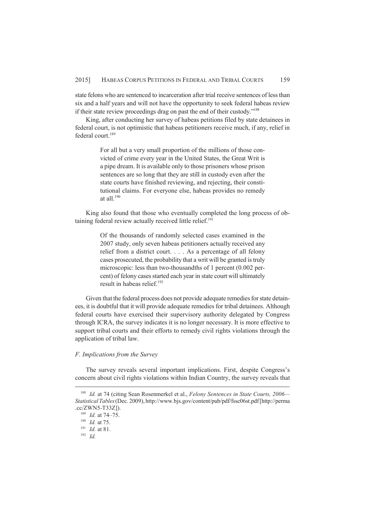state felons who are sentenced to incarceration after trial receive sentences of less than six and a half years and will not have the opportunity to seek federal habeas review if their state review proceedings drag on past the end of their custody."<sup>188</sup>

King, after conducting her survey of habeas petitions filed by state detainees in federal court, is not optimistic that habeas petitioners receive much, if any, relief in federal court.<sup>189</sup>

> For all but a very small proportion of the millions of those convicted of crime every year in the United States, the Great Writ is a pipe dream. It is available only to those prisoners whose prison sentences are so long that they are still in custody even after the state courts have finished reviewing, and rejecting, their constitutional claims. For everyone else, habeas provides no remedy at all. $190$

King also found that those who eventually completed the long process of obtaining federal review actually received little relief.<sup>191</sup>

> Of the thousands of randomly selected cases examined in the 2007 study, only seven habeas petitioners actually received any relief from a district court. . . . As a percentage of all felony cases prosecuted, the probability that a writ will be granted is truly microscopic: less than two-thousandths of 1 percent (0.002 percent) of felony cases started each year in state court will ultimately result in habeas relief.<sup>192</sup>

Given that the federal process does not provide adequate remedies for state detainees, it is doubtful that it will provide adequate remedies for tribal detainees. Although federal courts have exercised their supervisory authority delegated by Congress through ICRA, the survey indicates it is no longer necessary. It is more effective to support tribal courts and their efforts to remedy civil rights violations through the application of tribal law.

## *F. Implications from the Survey*

The survey reveals several important implications. First, despite Congress's concern about civil rights violations within Indian Country, the survey reveals that

<sup>188</sup> *Id.* at 74 (citing Sean Rosenmerkel et al., *Felony Sentences in State Courts, 2006— Statistical Tables* (Dec. 2009), http://www.bjs.gov/content/pub/pdf/fssc06st.pdf [http://perma .cc/ZWN5-T33Z]).

<sup>189</sup> *Id.* at 74–75.

<sup>190</sup> *Id.* at 75.

<sup>191</sup> *Id.* at 81.

<sup>192</sup> *Id.*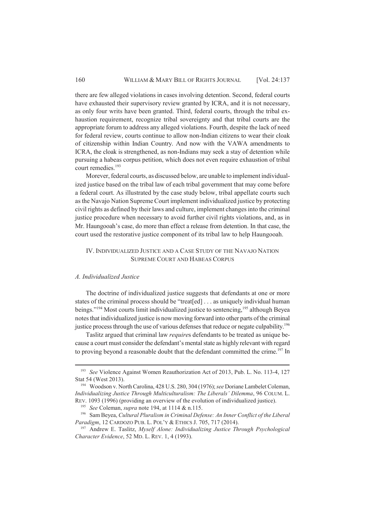there are few alleged violations in cases involving detention. Second, federal courts have exhausted their supervisory review granted by ICRA, and it is not necessary, as only four writs have been granted. Third, federal courts, through the tribal exhaustion requirement, recognize tribal sovereignty and that tribal courts are the appropriate forum to address any alleged violations. Fourth, despite the lack of need for federal review, courts continue to allow non-Indian citizens to wear their cloak of citizenship within Indian Country. And now with the VAWA amendments to ICRA, the cloak is strengthened, as non-Indians may seek a stay of detention while pursuing a habeas corpus petition, which does not even require exhaustion of tribal court remedies.<sup>193</sup>

Morever, federal courts, as discussed below, are unable to implement individualized justice based on the tribal law of each tribal government that may come before a federal court. As illustrated by the case study below, tribal appellate courts such as the Navajo Nation Supreme Court implement individualized justice by protecting civil rights as defined by their laws and culture, implement changes into the criminal justice procedure when necessary to avoid further civil rights violations, and, as in Mr. Haungooah's case, do more than effect a release from detention. In that case, the court used the restorative justice component of its tribal law to help Haungooah.

## IV. INDIVIDUALIZED JUSTICE AND A CASE STUDY OF THE NAVAJO NATION SUPREME COURT AND HABEAS CORPUS

#### *A. Individualized Justice*

The doctrine of individualized justice suggests that defendants at one or more states of the criminal process should be "treat[ed] . . . as uniquely individual human beings."<sup>194</sup> Most courts limit individualized justice to sentencing,<sup>195</sup> although Beyea notes that individualized justice is now moving forward into other parts of the criminal justice process through the use of various defenses that reduce or negate culpability.<sup>196</sup>

Taslitz argued that criminal law *require*s defendants to be treated as unique because a court must consider the defendant's mental state as highly relevant with regard to proving beyond a reasonable doubt that the defendant committed the crime.<sup>197</sup> In

<sup>193</sup> *See* Violence Against Women Reauthorization Act of 2013, Pub. L. No. 113-4, 127 Stat 54 (West 2013).

<sup>194</sup> Woodson v. North Carolina, 428 U.S. 280, 304 (1976); *see* Doriane Lambelet Coleman, *Individualizing Justice Through Multiculturalism: The Liberals' Dilemma*, 96 COLUM. L. REV. 1093 (1996) (providing an overview of the evolution of individualized justice).

<sup>195</sup> *See* Coleman, *supra* note 194, at 1114 & n.115.

<sup>196</sup> Sam Beyea, *Cultural Pluralism in Criminal Defense: An Inner Conflict of the Liberal Paradigm*, 12 CARDOZO PUB. L. POL'Y & ETHICS J. 705, 717 (2014).

<sup>197</sup> Andrew E. Taslitz, *Myself Alone: Individualizing Justice Through Psychological Character Evidence*, 52 MD. L. REV. 1, 4 (1993).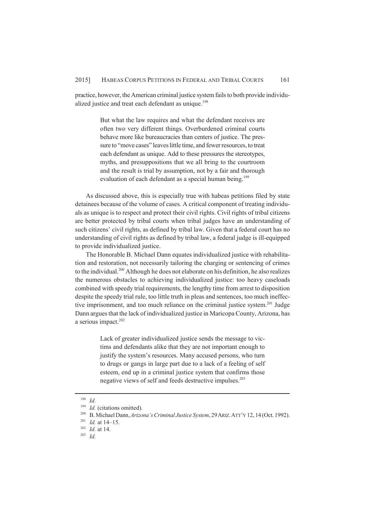practice, however, the American criminal justice system fails to both provide individualized justice and treat each defendant as unique.<sup>198</sup>

> But what the law requires and what the defendant receives are often two very different things. Overburdened criminal courts behave more like bureaucracies than centers of justice. The pressure to "move cases" leaves little time, and fewer resources, to treat each defendant as unique. Add to these pressures the stereotypes, myths, and presuppositions that we all bring to the courtroom and the result is trial by assumption, not by a fair and thorough evaluation of each defendant as a special human being.<sup>199</sup>

As discussed above, this is especially true with habeas petitions filed by state detainees because of the volume of cases. A critical component of treating individuals as unique is to respect and protect their civil rights. Civil rights of tribal citizens are better protected by tribal courts when tribal judges have an understanding of such citizens' civil rights, as defined by tribal law. Given that a federal court has no understanding of civil rights as defined by tribal law, a federal judge is ill-equipped to provide individualized justice.

The Honorable B. Michael Dann equates individualized justice with rehabilitation and restoration, not necessarily tailoring the charging or sentencing of crimes to the individual.<sup>200</sup> Although he does not elaborate on his definition, he also realizes the numerous obstacles to achieving individualized justice: too heavy caseloads combined with speedy trial requirements, the lengthy time from arrest to disposition despite the speedy trial rule, too little truth in pleas and sentences, too much ineffective imprisonment, and too much reliance on the criminal justice system.<sup>201</sup> Judge Dann argues that the lack of individualized justice in Maricopa County, Arizona, has a serious impact.<sup>202</sup>

> Lack of greater individualized justice sends the message to victims and defendants alike that they are not important enough to justify the system's resources. Many accused persons, who turn to drugs or gangs in large part due to a lack of a feeling of self esteem, end up in a criminal justice system that confirms those negative views of self and feeds destructive impulses.<sup>203</sup>

<sup>198</sup> *Id.*

<sup>&</sup>lt;sup>199</sup> *Id.* (citations omitted).

<sup>200</sup> B. Michael Dann, *Arizona's Criminal Justice System*, 29ARIZ.ATT'Y 12, 14 (Oct. 1992).

<sup>201</sup> *Id.* at 14–15.

<sup>202</sup> *Id.* at 14.

<sup>203</sup> *Id.*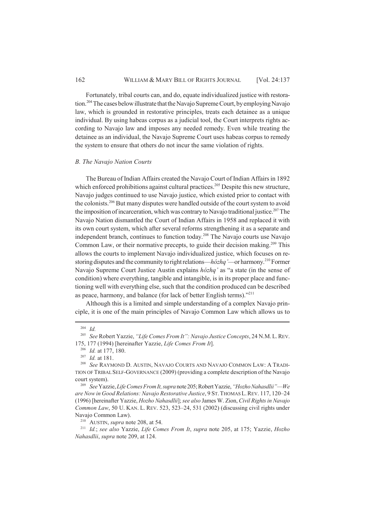## 162 WILLIAM & MARY BILL OF RIGHTS JOURNAL [Vol. 24:137

Fortunately, tribal courts can, and do, equate individualized justice with restoration.<sup>204</sup> The cases below illustrate that the Navajo Supreme Court, by employing Navajo law, which is grounded in restorative principles, treats each detainee as a unique individual. By using habeas corpus as a judicial tool, the Court interprets rights according to Navajo law and imposes any needed remedy. Even while treating the detainee as an individual, the Navajo Supreme Court uses habeas corpus to remedy the system to ensure that others do not incur the same violation of rights.

## *B. The Navajo Nation Courts*

The Bureau of Indian Affairs created the Navajo Court of Indian Affairs in 1892 which enforced prohibitions against cultural practices.<sup>205</sup> Despite this new structure, Navajo judges continued to use Navajo justice, which existed prior to contact with the colonists.<sup>206</sup> But many disputes were handled outside of the court system to avoid the imposition of incarceration, which was contrary to Navajo traditional justice.<sup>207</sup> The Navajo Nation dismantled the Court of Indian Affairs in 1958 and replaced it with its own court system, which after several reforms strengthening it as a separate and independent branch, continues to function today.<sup>208</sup> The Navajo courts use Navajo Common Law, or their normative precepts, to guide their decision making.<sup>209</sup> This allows the courts to implement Navajo individualized justice, which focuses on restoring disputes and the community to right relations—*hózhq'*—or harmony.<sup>210</sup> Former Navajo Supreme Court Justice Austin explains *hózhq'* as "a state (in the sense of condition) where everything, tangible and intangible, is in its proper place and functioning well with everything else, such that the condition produced can be described as peace, harmony, and balance (for lack of better English terms). $^{2211}$ 

Although this is a limited and simple understanding of a complex Navajo principle, it is one of the main principles of Navajo Common Law which allows us to

<sup>210</sup> AUSTIN, *supra* note 208, at 54.

<sup>204</sup> *Id.*

<sup>205</sup> *See* Robert Yazzie, *"Life Comes From It": Navajo Justice Concepts*, 24 N.M.L.REV. 175, 177 (1994) [hereinafter Yazzie, *Life Comes From It*].

<sup>206</sup> *Id.* at 177, 180.

<sup>207</sup> *Id.* at 181.

<sup>208</sup> *See* RAYMOND D. AUSTIN, NAVAJO COURTS AND NAVAJO COMMON LAW: A TRADI-TION OF TRIBAL SELF-GOVERNANCE (2009) (providing a complete description of the Navajo court system).

<sup>209</sup> *See* Yazzie, *Life Comes From It, supra* note 205; Robert Yazzie, *"Hozho Nahasdlii"—We are Now in Good Relations: Navajo Restorative Justice*, 9 ST.THOMAS L.REV. 117, 120–24 (1996) [hereinafter Yazzie, *Hozho Nahasdlii*]; *see also* James W. Zion, *Civil Rights in Navajo Common Law*, 50 U. KAN. L. REV. 523, 523–24, 531 (2002) (discussing civil rights under Navajo Common Law).

<sup>211</sup> *Id.*; *see also* Yazzie, *Life Comes From It*, *supra* note 205, at 175; Yazzie, *Hozho Nahasdlii*, *supra* note 209, at 124.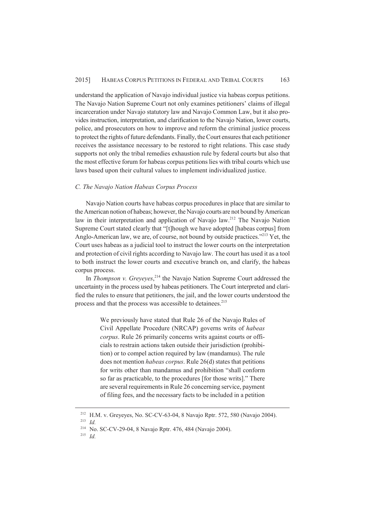understand the application of Navajo individual justice via habeas corpus petitions. The Navajo Nation Supreme Court not only examines petitioners' claims of illegal incarceration under Navajo statutory law and Navajo Common Law, but it also provides instruction, interpretation, and clarification to the Navajo Nation, lower courts, police, and prosecutors on how to improve and reform the criminal justice process to protect the rights of future defendants. Finally, the Court ensures that each petitioner receives the assistance necessary to be restored to right relations. This case study supports not only the tribal remedies exhaustion rule by federal courts but also that the most effective forum for habeas corpus petitions lies with tribal courts which use laws based upon their cultural values to implement individualized justice.

## *C. The Navajo Nation Habeas Corpus Process*

Navajo Nation courts have habeas corpus procedures in place that are similar to the American notion of habeas; however, the Navajo courts are not bound by American law in their interpretation and application of Navajo law.<sup>212</sup> The Navajo Nation Supreme Court stated clearly that "[t]hough we have adopted [habeas corpus] from Anglo-American law, we are, of course, not bound by outside practices."<sup>213</sup> Yet, the Court uses habeas as a judicial tool to instruct the lower courts on the interpretation and protection of civil rights according to Navajo law. The court has used it as a tool to both instruct the lower courts and executive branch on, and clarify, the habeas corpus process.

In *Thompson v. Greyeyes*, <sup>214</sup> the Navajo Nation Supreme Court addressed the uncertainty in the process used by habeas petitioners. The Court interpreted and clarified the rules to ensure that petitioners, the jail, and the lower courts understood the process and that the process was accessible to detainees.<sup>215</sup>

> We previously have stated that Rule 26 of the Navajo Rules of Civil Appellate Procedure (NRCAP) governs writs of *habeas corpus*. Rule 26 primarily concerns writs against courts or officials to restrain actions taken outside their jurisdiction (prohibition) or to compel action required by law (mandamus). The rule does not mention *habeas corpus*. Rule 26(d) states that petitions for writs other than mandamus and prohibition "shall conform so far as practicable, to the procedures [for those writs]." There are several requirements in Rule 26 concerning service, payment of filing fees, and the necessary facts to be included in a petition

<sup>212</sup> H.M. v. Greyeyes, No. SC-CV-63-04, 8 Navajo Rptr. 572, 580 (Navajo 2004). <sup>213</sup> *Id.*

<sup>214</sup> No. SC-CV-29-04, 8 Navajo Rptr. 476, 484 (Navajo 2004).

<sup>215</sup> *Id.*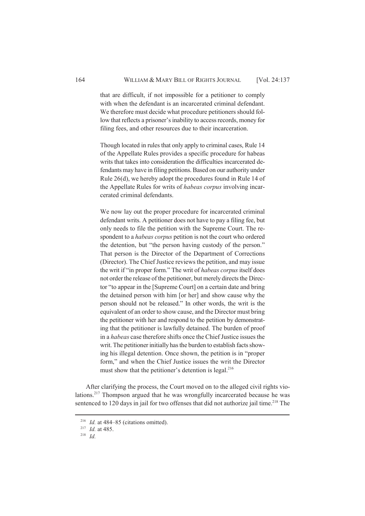that are difficult, if not impossible for a petitioner to comply with when the defendant is an incarcerated criminal defendant. We therefore must decide what procedure petitioners should follow that reflects a prisoner's inability to access records, money for filing fees, and other resources due to their incarceration.

Though located in rules that only apply to criminal cases, Rule 14 of the Appellate Rules provides a specific procedure for habeas writs that takes into consideration the difficulties incarcerated defendants may have in filing petitions. Based on our authority under Rule 26(d), we hereby adopt the procedures found in Rule 14 of the Appellate Rules for writs of *habeas corpus* involving incarcerated criminal defendants.

We now lay out the proper procedure for incarcerated criminal defendant writs. A petitioner does not have to pay a filing fee, but only needs to file the petition with the Supreme Court. The respondent to a *habeas corpus* petition is not the court who ordered the detention, but "the person having custody of the person." That person is the Director of the Department of Corrections (Director). The Chief Justice reviews the petition, and may issue the writ if "in proper form." The writ of *habeas corpus* itself does not order the release of the petitioner, but merely directs the Director "to appear in the [Supreme Court] on a certain date and bring the detained person with him [or her] and show cause why the person should not be released." In other words, the writ is the equivalent of an order to show cause, and the Director must bring the petitioner with her and respond to the petition by demonstrating that the petitioner is lawfully detained. The burden of proof in a *habeas* case therefore shifts once the Chief Justice issues the writ. The petitioner initially has the burden to establish facts showing his illegal detention. Once shown, the petition is in "proper form," and when the Chief Justice issues the writ the Director must show that the petitioner's detention is legal.<sup>216</sup>

After clarifying the process, the Court moved on to the alleged civil rights violations.<sup>217</sup> Thompson argued that he was wrongfully incarcerated because he was sentenced to 120 days in jail for two offenses that did not authorize jail time.<sup>218</sup> The

<sup>&</sup>lt;sup>216</sup> *Id.* at 484–85 (citations omitted).

<sup>217</sup> *Id.* at 485.

<sup>218</sup> *Id.*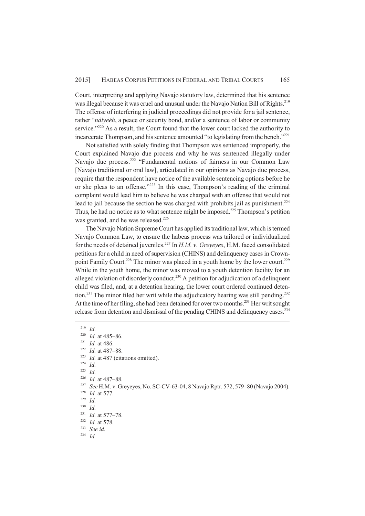Court, interpreting and applying Navajo statutory law, determined that his sentence was illegal because it was cruel and unusual under the Navajo Nation Bill of Rights.<sup>219</sup> The offense of interfering in judicial proceedings did not provide for a jail sentence, rather "*nályééh*, a peace or security bond, and/or a sentence of labor or community service."<sup>220</sup> As a result, the Court found that the lower court lacked the authority to incarcerate Thompson, and his sentence amounted "to legislating from the bench."<sup>221</sup>

Not satisfied with solely finding that Thompson was sentenced improperly, the Court explained Navajo due process and why he was sentenced illegally under Navajo due process.<sup>222</sup> "Fundamental notions of fairness in our Common Law [Navajo traditional or oral law], articulated in our opinions as Navajo due process, require that the respondent have notice of the available sentencing options before he or she pleas to an offense."<sup>223</sup> In this case, Thompson's reading of the criminal complaint would lead him to believe he was charged with an offense that would not lead to jail because the section he was charged with prohibits jail as punishment.<sup>224</sup> Thus, he had no notice as to what sentence might be imposed.<sup>225</sup> Thompson's petition was granted, and he was released.<sup>226</sup>

The Navajo Nation Supreme Court has applied its traditional law, which is termed Navajo Common Law, to ensure the habeas process was tailored or individualized for the needs of detained juveniles.<sup>227</sup> In *H.M. v. Greyeyes*, H.M. faced consolidated petitions for a child in need of supervision (CHINS) and delinquency cases in Crownpoint Family Court.<sup>228</sup> The minor was placed in a youth home by the lower court.<sup>229</sup> While in the youth home, the minor was moved to a youth detention facility for an alleged violation of disorderly conduct.<sup>230</sup> A petition for adjudication of a delinquent child was filed, and, at a detention hearing, the lower court ordered continued detention.<sup>231</sup> The minor filed her writ while the adjudicatory hearing was still pending.<sup>232</sup> At the time of her filing, she had been detained for over two months.<sup>233</sup> Her writ sought release from detention and dismissal of the pending CHINS and delinquency cases.<sup>234</sup>

 $\frac{225}{226}$  *Id.* 

- <sup>227</sup> *See* H.M. v. Greyeyes, No. SC-CV-63-04, 8 Navajo Rptr. 572, 579–80 (Navajo 2004).
- <sup>228</sup> *Id.* at 577.

<sup>219</sup> *Id.*

<sup>220</sup> *Id.* at 485–86.

<sup>221</sup> *Id.* at 486.

 $\frac{222}{223}$  *Id.* at 487–88.

<sup>&</sup>lt;sup>223</sup> *Id.* at 487 (citations omitted).

 $\frac{224}{225}$  *Id.* 

<sup>&</sup>lt;sup>226</sup> *Id.* at 487–88.

<sup>229</sup> *Id.*

<sup>230</sup> *Id.*

<sup>231</sup> *Id.* at 577–78.

<sup>232</sup> *Id.* at 578.

<sup>233</sup> *See id.*

<sup>234</sup> *Id.*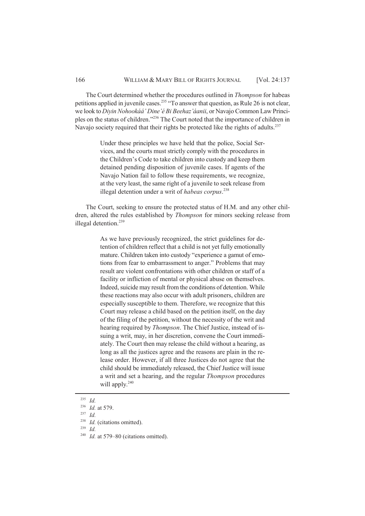The Court determined whether the procedures outlined in *Thompson* for habeas petitions applied in juvenile cases.<sup>235</sup> "To answer that question, as Rule 26 is not clear, we look to *Diyin Nohookáá' Dine'é Bi Beehaz'áanii*, or Navajo Common Law Principles on the status of children."<sup>236</sup> The Court noted that the importance of children in Navajo society required that their rights be protected like the rights of adults.<sup>237</sup>

> Under these principles we have held that the police, Social Services, and the courts must strictly comply with the procedures in the Children's Code to take children into custody and keep them detained pending disposition of juvenile cases. If agents of the Navajo Nation fail to follow these requirements, we recognize, at the very least, the same right of a juvenile to seek release from illegal detention under a writ of *habeas corpus*. 238

The Court, seeking to ensure the protected status of H.M. and any other children, altered the rules established by *Thompson* for minors seeking release from illegal detention.<sup>239</sup>

> As we have previously recognized, the strict guidelines for detention of children reflect that a child is not yet fully emotionally mature. Children taken into custody "experience a gamut of emotions from fear to embarrassment to anger." Problems that may result are violent confrontations with other children or staff of a facility or infliction of mental or physical abuse on themselves. Indeed, suicide may result from the conditions of detention. While these reactions may also occur with adult prisoners, children are especially susceptible to them. Therefore, we recognize that this Court may release a child based on the petition itself, on the day of the filing of the petition, without the necessity of the writ and hearing required by *Thompson*. The Chief Justice, instead of issuing a writ, may, in her discretion, convene the Court immediately. The Court then may release the child without a hearing, as long as all the justices agree and the reasons are plain in the release order. However, if all three Justices do not agree that the child should be immediately released, the Chief Justice will issue a writ and set a hearing, and the regular *Thompson* procedures will apply.<sup>240</sup>

<sup>237</sup> *Id.*

- <sup>239</sup> *Id.*
- <sup>240</sup> *Id.* at 579–80 (citations omitted).

<sup>235</sup> *Id.*

<sup>236</sup> *Id.* at 579.

<sup>238</sup> *Id.* (citations omitted).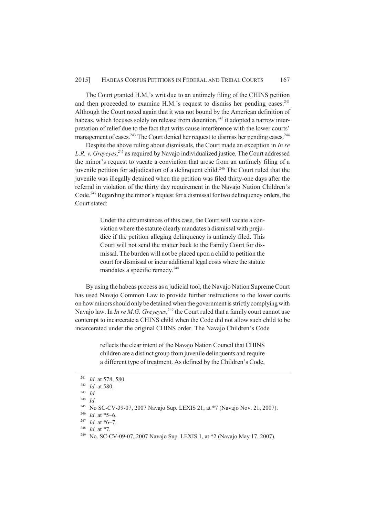The Court granted H.M.'s writ due to an untimely filing of the CHINS petition and then proceeded to examine H.M.'s request to dismiss her pending cases. $^{241}$ Although the Court noted again that it was not bound by the American definition of habeas, which focuses solely on release from detention.<sup>242</sup> it adopted a narrow interpretation of relief due to the fact that writs cause interference with the lower courts' management of cases.<sup>243</sup> The Court denied her request to dismiss her pending cases.<sup>244</sup>

Despite the above ruling about dismissals, the Court made an exception in *In re L.R. v. Greyeyes*, <sup>245</sup> as required by Navajo individualized justice. The Court addressed the minor's request to vacate a conviction that arose from an untimely filing of a juvenile petition for adjudication of a delinquent child.<sup>246</sup> The Court ruled that the juvenile was illegally detained when the petition was filed thirty-one days after the referral in violation of the thirty day requirement in the Navajo Nation Children's Code.<sup>247</sup> Regarding the minor's request for a dismissal for two delinquency orders, the Court stated:

> Under the circumstances of this case, the Court will vacate a conviction where the statute clearly mandates a dismissal with prejudice if the petition alleging delinquency is untimely filed. This Court will not send the matter back to the Family Court for dismissal. The burden will not be placed upon a child to petition the court for dismissal or incur additional legal costs where the statute mandates a specific remedy.<sup>248</sup>

By using the habeas process as a judicial tool, the Navajo Nation Supreme Court has used Navajo Common Law to provide further instructions to the lower courts on how minors should only be detained when the government is strictly complying with Navajo law. In *In re M.G. Greyeyes*, <sup>249</sup> the Court ruled that a family court cannot use contempt to incarcerate a CHINS child when the Code did not allow such child to be incarcerated under the original CHINS order. The Navajo Children's Code

> reflects the clear intent of the Navajo Nation Council that CHINS children are a distinct group from juvenile delinquents and require a different type of treatment. As defined by the Children's Code,

<sup>248</sup> *Id.* at \*7.

<sup>241</sup> *Id.* at 578, 580.

<sup>242</sup> *Id.* at 580.

<sup>243</sup> *Id.*

<sup>244</sup> *Id.*

<sup>245</sup> No SC-CV-39-07, 2007 Navajo Sup. LEXIS 21, at \*7 (Navajo Nov. 21, 2007).

<sup>246</sup> *Id.* at \*5–6.

<sup>247</sup> *Id.* at \*6–7.

<sup>&</sup>lt;sup>249</sup> No. SC-CV-09-07, 2007 Navajo Sup. LEXIS 1, at \*2 (Navajo May 17, 2007).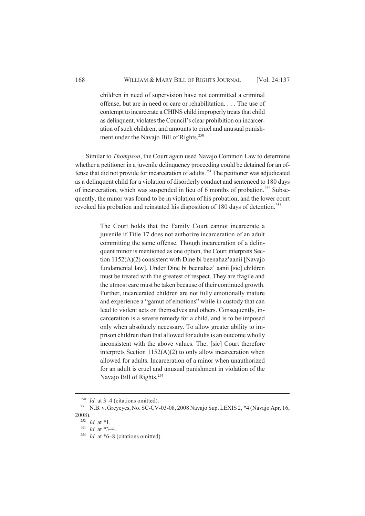children in need of supervision have not committed a criminal offense, but are in need or care or rehabilitation. . . . The use of contempt to incarcerate a CHINS child improperly treats that child as delinquent, violates the Council's clear prohibition on incarceration of such children, and amounts to cruel and unusual punishment under the Navajo Bill of Rights.<sup>250</sup>

Similar to *Thompson*, the Court again used Navajo Common Law to determine whether a petitioner in a juvenile delinquency proceeding could be detained for an offense that did not provide for incarceration of adults.<sup>251</sup> The petitioner was adjudicated as a delinquent child for a violation of disorderly conduct and sentenced to 180 days of incarceration, which was suspended in lieu of 6 months of probation.<sup>252</sup> Subsequently, the minor was found to be in violation of his probation, and the lower court revoked his probation and reinstated his disposition of 180 days of detention.<sup>253</sup>

> The Court holds that the Family Court cannot incarcerate a juvenile if Title 17 does not authorize incarceration of an adult committing the same offense. Though incarceration of a delinquent minor is mentioned as one option, the Court interprets Section 1152(A)(2) consistent with Dine bi beenahaz'aanii [Navajo fundamental law]. Under Dine bi beenahaz' aanii [sic] children must be treated with the greatest of respect. They are fragile and the utmost care must be taken because of their continued growth. Further, incarcerated children are not fully emotionally mature and experience a "gamut of emotions" while in custody that can lead to violent acts on themselves and others. Consequently, incarceration is a severe remedy for a child, and is to be imposed only when absolutely necessary. To allow greater ability to imprison children than that allowed for adults is an outcome wholly inconsistent with the above values. The. [sic] Court therefore interprets Section  $1152(A)(2)$  to only allow incarceration when allowed for adults. Incarceration of a minor when unauthorized for an adult is cruel and unusual punishment in violation of the Navajo Bill of Rights.<sup>254</sup>

<sup>&</sup>lt;sup>250</sup> *Id.* at 3–4 (citations omitted).

<sup>&</sup>lt;sup>251</sup> N.B. v. Greyeyes, No. SC-CV-03-08, 2008 Navajo Sup. LEXIS 2, \*4 (Navajo Apr. 16, 2008).

<sup>252</sup> *Id.* at \*1.

<sup>253</sup> *Id.* at \*3–4.

<sup>&</sup>lt;sup>254</sup> *Id.* at \*6–8 (citations omitted).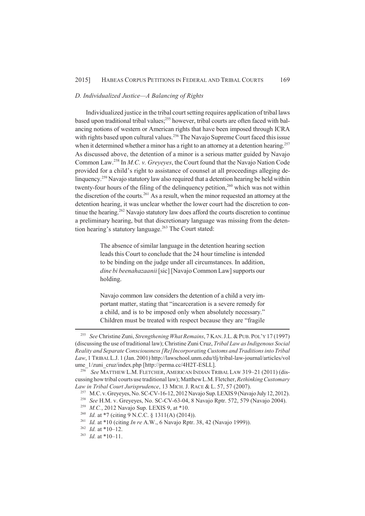#### *D. Individualized Justice—A Balancing of Rights*

Individualized justice in the tribal court setting requires application of tribal laws based upon traditional tribal values;<sup>255</sup> however, tribal courts are often faced with balancing notions of western or American rights that have been imposed through ICRA with rights based upon cultural values.<sup>256</sup> The Navajo Supreme Court faced this issue when it determined whether a minor has a right to an attorney at a detention hearing.<sup>257</sup> As discussed above, the detention of a minor is a serious matter guided by Navajo Common Law.<sup>258</sup> In *M.C. v. Greyeyes*, the Court found that the Navajo Nation Code provided for a child's right to assistance of counsel at all proceedings alleging delinquency.<sup>259</sup> Navajo statutory law also required that a detention hearing be held within twenty-four hours of the filing of the delinquency petition,  $260$  which was not within the discretion of the courts.<sup>261</sup> As a result, when the minor requested an attorney at the detention hearing, it was unclear whether the lower court had the discretion to continue the hearing.<sup>262</sup> Navajo statutory law does afford the courts discretion to continue a preliminary hearing, but that discretionary language was missing from the detention hearing's statutory language.<sup>263</sup> The Court stated:

> The absence of similar language in the detention hearing section leads this Court to conclude that the 24 hour timeline is intended to be binding on the judge under all circumstances. In addition, *dine bi beenahazaanii* [sic] [Navajo Common Law] supports our holding.

> Navajo common law considers the detention of a child a very important matter, stating that "incarceration is a severe remedy for a child, and is to be imposed only when absolutely necessary." Children must be treated with respect because they are "fragile

<sup>255</sup> *See* Christine Zuni, *Strengthening What Remains*, 7 KAN.J.L.&PUB.POL'Y 17 (1997) (discussing the use of traditional law); Christine Zuni Cruz, *Tribal Law as Indigenous Social Reality and Separate Consciousness [Re]Incorporating Customs and Traditions into Tribal Law*, 1 TRIBAL L.J. 1 (Jan. 2001) http://lawschool.unm.edu/tlj/tribal-law-journal/articles/vol ume\_1/zuni\_cruz/index.php [http://perma.cc/4H2T-ESLL].

<sup>256</sup> *See* MATTHEW L.M. FLETCHER, AMERICAN INDIAN TRIBAL LAW 319–21 (2011) (discussing how tribal courts use traditional law); Matthew L.M. Fletcher, *Rethinking Customary Law in Tribal Court Jurisprudence*, 13 MICH. J. RACE & L. 57, 57 (2007).

<sup>&</sup>lt;sup>257</sup> M.C. v. Greyeyes, No. SC-CV-16-12, 2012 Navajo Sup. LEXIS 9 (Navajo July 12, 2012).

<sup>258</sup> *See* H.M. v. Greyeyes, No. SC-CV-63-04, 8 Navajo Rptr. 572, 579 (Navajo 2004).

<sup>259</sup> *M.C.*, 2012 Navajo Sup. LEXIS 9, at \*10.

<sup>260</sup> *Id.* at \*7 (citing 9 N.C.C. § 1311(A) (2014)).

<sup>261</sup> *Id.* at \*10 (citing *In re* A.W., 6 Navajo Rptr. 38, 42 (Navajo 1999)).

<sup>262</sup> *Id.* at \*10–12.

<sup>263</sup> *Id.* at \*10–11.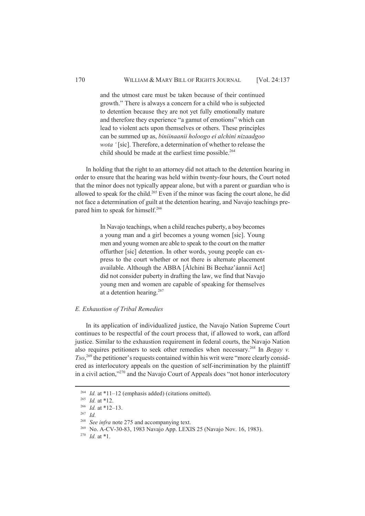and the utmost care must be taken because of their continued growth." There is always a concern for a child who is subjected to detention because they are not yet fully emotionally mature and therefore they experience "a gamut of emotions" which can lead to violent acts upon themselves or others. These principles can be summed up as, *biniinaanii holoogo ei alchini nizaadgoo wota '* [sic]. Therefore, a determination of whether to release the child should be made at the earliest time possible.<sup>264</sup>

In holding that the right to an attorney did not attach to the detention hearing in order to ensure that the hearing was held within twenty-four hours, the Court noted that the minor does not typically appear alone, but with a parent or guardian who is allowed to speak for the child.<sup>265</sup> Even if the minor was facing the court alone, he did not face a determination of guilt at the detention hearing, and Navajo teachings prepared him to speak for himself.<sup>266</sup>

> In Navajo teachings, when a child reaches puberty, a boy becomes a young man and a girl becomes a young women [sic]. Young men and young women are able to speak to the court on the matter offurther [sic] detention. In other words, young people can express to the court whether or not there is alternate placement available. Although the ABBA [Álchini Bi Beehaz'áannii Act] did not consider puberty in drafting the law, we find that Navajo young men and women are capable of speaking for themselves at a detention hearing.<sup>267</sup>

#### *E. Exhaustion of Tribal Remedies*

In its application of individualized justice, the Navajo Nation Supreme Court continues to be respectful of the court process that, if allowed to work, can afford justice. Similar to the exhaustion requirement in federal courts, the Navajo Nation also requires petitioners to seek other remedies when necessary.<sup>268</sup> In *Begay v. Tso*, 269 the petitioner's requests contained within his writ were "more clearly considered as interlocutory appeals on the question of self-incrimination by the plaintiff in a civil action,"<sup>270</sup> and the Navajo Court of Appeals does "not honor interlocutory

<sup>&</sup>lt;sup>264</sup> *Id.* at \*11–12 (emphasis added) (citations omitted).

<sup>265</sup> *Id.* at \*12.

<sup>266</sup> *Id.* at \*12–13.

<sup>267</sup> *Id.*

<sup>&</sup>lt;sup>268</sup> *See infra* note 275 and accompanying text.

<sup>269</sup> No. A-CV-30-83, 1983 Navajo App. LEXIS 25 (Navajo Nov. 16, 1983).

<sup>270</sup> *Id.* at \*1.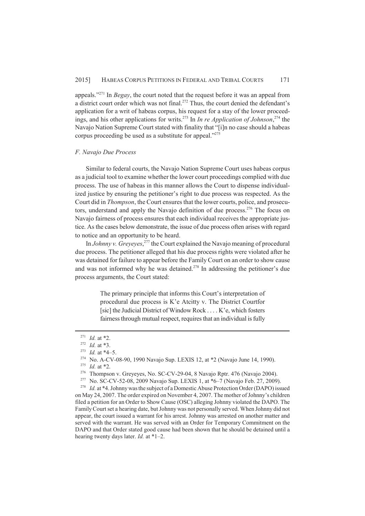appeals."<sup>271</sup> In *Begay*, the court noted that the request before it was an appeal from a district court order which was not final.<sup>272</sup> Thus, the court denied the defendant's application for a writ of habeas corpus, his request for a stay of the lower proceedings, and his other applications for writs.<sup>273</sup> In *In re Application of Johnson*,<sup>274</sup> the Navajo Nation Supreme Court stated with finality that "[i]n no case should a habeas corpus proceeding be used as a substitute for appeal."<sup>275</sup>

## *F. Navajo Due Process*

Similar to federal courts, the Navajo Nation Supreme Court uses habeas corpus as a judicial tool to examine whether the lower court proceedings complied with due process. The use of habeas in this manner allows the Court to dispense individualized justice by ensuring the petitioner's right to due process was respected. As the Court did in *Thompson*, the Court ensures that the lower courts, police, and prosecutors, understand and apply the Navajo definition of due process.<sup>276</sup> The focus on Navajo fairness of process ensures that each individual receives the appropriate justice. As the cases below demonstrate, the issue of due process often arises with regard to notice and an opportunity to be heard.

In *Johnny v. Greyeyes*, <sup>277</sup> the Court explained the Navajo meaning of procedural due process. The petitioner alleged that his due process rights were violated after he was detained for failure to appear before the Family Court on an order to show cause and was not informed why he was detained.<sup>278</sup> In addressing the petitioner's due process arguments, the Court stated:

> The primary principle that informs this Court's interpretation of procedural due process is K'e Atcitty v. The District Courtfor [sic] the Judicial District of Window Rock . . . . K'e, which fosters fairness through mutual respect, requires that an individual is fully

<sup>271</sup> *Id.* at \*2.

<sup>272</sup> *Id.* at \*3.

<sup>&</sup>lt;sup>273</sup> *Id.* at \*4–5.

<sup>274</sup> No. A-CV-08-90, 1990 Navajo Sup. LEXIS 12, at \*2 (Navajo June 14, 1990).

<sup>275</sup> *Id.* at \*2.

<sup>276</sup> Thompson v. Greyeyes, No. SC-CV-29-04, 8 Navajo Rptr. 476 (Navajo 2004).

<sup>277</sup> No. SC-CV-52-08, 2009 Navajo Sup. LEXIS 1, at \*6–7 (Navajo Feb. 27, 2009).

<sup>278</sup> *Id.* at \*4. Johnny was the subject of a Domestic Abuse Protection Order (DAPO) issued on May 24, 2007. The order expired on November 4, 2007. The mother of Johnny's children filed a petition for an Order to Show Cause (OSC) alleging Johnny violated the DAPO. The Family Court set a hearing date, but Johnny was not personally served. When Johnny did not appear, the court issued a warrant for his arrest. Johnny was arrested on another matter and served with the warrant. He was served with an Order for Temporary Commitment on the DAPO and that Order stated good cause had been shown that he should be detained until a hearing twenty days later. *Id.* at \*1–2.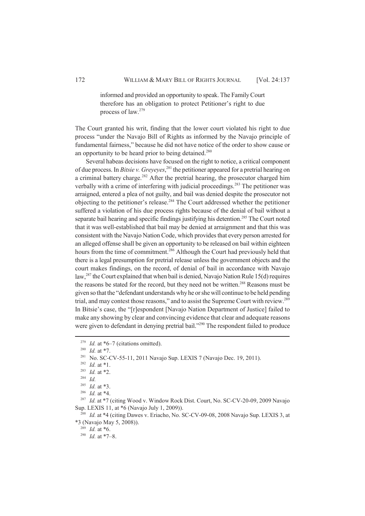informed and provided an opportunity to speak. The Family Court therefore has an obligation to protect Petitioner's right to due process of law.<sup>279</sup>

The Court granted his writ, finding that the lower court violated his right to due process "under the Navajo Bill of Rights as informed by the Navajo principle of fundamental fairness," because he did not have notice of the order to show cause or an opportunity to be heard prior to being detained.<sup>280</sup>

Several habeas decisions have focused on the right to notice, a critical component of due process. In *Bitsie v. Greyeyes*, <sup>281</sup> the petitioner appeared for a pretrial hearing on a criminal battery charge.<sup>282</sup> After the pretrial hearing, the prosecutor charged him verbally with a crime of interfering with judicial proceedings.<sup>283</sup> The petitioner was arraigned, entered a plea of not guilty, and bail was denied despite the prosecutor not objecting to the petitioner's release.<sup>284</sup> The Court addressed whether the petitioner suffered a violation of his due process rights because of the denial of bail without a separate bail hearing and specific findings justifying his detention.<sup>285</sup> The Court noted that it was well-established that bail may be denied at arraignment and that this was consistent with the Navajo Nation Code, which provides that every person arrested for an alleged offense shall be given an opportunity to be released on bail within eighteen hours from the time of commitment.<sup>286</sup> Although the Court had previously held that there is a legal presumption for pretrial release unless the government objects and the court makes findings, on the record, of denial of bail in accordance with Navajo law,<sup>287</sup> the Court explained that when bail is denied, Navajo Nation Rule 15(d) requires the reasons be stated for the record, but they need not be written.<sup>288</sup> Reasons must be given so that the "defendant understands why he or she will continue to be held pending trial, and may contest those reasons," and to assist the Supreme Court with review.<sup>289</sup> In Bitsie's case, the "[r]espondent [Navajo Nation Department of Justice] failed to make any showing by clear and convincing evidence that clear and adequate reasons were given to defendant in denying pretrial bail.<sup>2290</sup> The respondent failed to produce

<sup>&</sup>lt;sup>279</sup> *Id.* at \*6–7 (citations omitted).

<sup>280</sup> *Id.* at \*7.

<sup>&</sup>lt;sup>281</sup> No. SC-CV-55-11, 2011 Navajo Sup. LEXIS 7 (Navajo Dec. 19, 2011).

<sup>282</sup> *Id.* at \*1.

<sup>283</sup> *Id.* at \*2.

<sup>284</sup> *Id.*

<sup>285</sup> *Id.* at \*3.

<sup>286</sup> *Id.* at \*4.

<sup>&</sup>lt;sup>287</sup> *Id.* at \*7 (citing Wood v. Window Rock Dist. Court, No. SC-CV-20-09, 2009 Navajo Sup. LEXIS 11, at \*6 (Navajo July 1, 2009)).

<sup>&</sup>lt;sup>288</sup> *Id.* at \*4 (citing Dawes v. Eriacho, No. SC-CV-09-08, 2008 Navajo Sup. LEXIS 3, at \*3 (Navajo May 5, 2008)).

<sup>289</sup> *Id.* at \*6.

<sup>290</sup> *Id.* at \*7–8.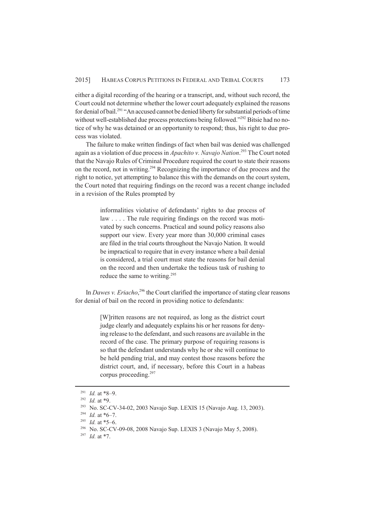either a digital recording of the hearing or a transcript, and, without such record, the Court could not determine whether the lower court adequately explained the reasons for denial of bail.<sup>291</sup> "An accused cannot be denied liberty for substantial periods of time without well-established due process protections being followed."<sup>292</sup> Bitsie had no notice of why he was detained or an opportunity to respond; thus, his right to due process was violated.

The failure to make written findings of fact when bail was denied was challenged again as a violation of due process in *Apachito v. Navajo Nation*. <sup>293</sup> The Court noted that the Navajo Rules of Criminal Procedure required the court to state their reasons on the record, not in writing.<sup>294</sup> Recognizing the importance of due process and the right to notice, yet attempting to balance this with the demands on the court system, the Court noted that requiring findings on the record was a recent change included in a revision of the Rules prompted by

> informalities violative of defendants' rights to due process of law . . . . The rule requiring findings on the record was motivated by such concerns. Practical and sound policy reasons also support our view. Every year more than 30,000 criminal cases are filed in the trial courts throughout the Navajo Nation. It would be impractical to require that in every instance where a bail denial is considered, a trial court must state the reasons for bail denial on the record and then undertake the tedious task of rushing to reduce the same to writing.<sup>295</sup>

In *Dawes v. Eriacho*,<sup>296</sup> the Court clarified the importance of stating clear reasons for denial of bail on the record in providing notice to defendants:

> [W]ritten reasons are not required, as long as the district court judge clearly and adequately explains his or her reasons for denying release to the defendant, and such reasons are available in the record of the case. The primary purpose of requiring reasons is so that the defendant understands why he or she will continue to be held pending trial, and may contest those reasons before the district court, and, if necessary, before this Court in a habeas corpus proceeding.<sup>297</sup>

<sup>291</sup> *Id.* at \*8–9.

<sup>292</sup> *Id.* at \*9.

<sup>293</sup> No. SC-CV-34-02, 2003 Navajo Sup. LEXIS 15 (Navajo Aug. 13, 2003).

<sup>294</sup> *Id.* at \*6–7.

<sup>295</sup> *Id.* at \*5–6.

<sup>296</sup> No. SC-CV-09-08, 2008 Navajo Sup. LEXIS 3 (Navajo May 5, 2008).

<sup>297</sup> *Id.* at \*7.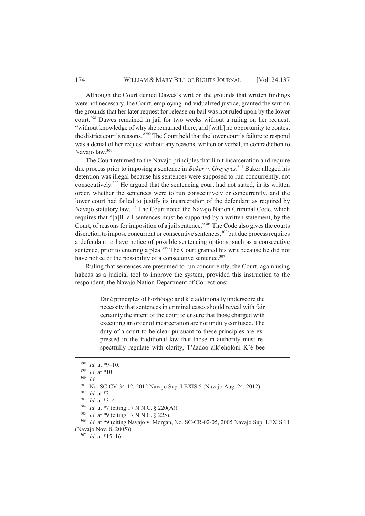Although the Court denied Dawes's writ on the grounds that written findings were not necessary, the Court, employing individualized justice, granted the writ on the grounds that her later request for release on bail was not ruled upon by the lower court.<sup>298</sup> Dawes remained in jail for two weeks without a ruling on her request, "without knowledge of why she remained there, and [with] no opportunity to contest the district court's reasons."<sup>299</sup> The Court held that the lower court's failure to respond was a denial of her request without any reasons, written or verbal, in contradiction to Navajo law.<sup>300</sup>

The Court returned to the Navajo principles that limit incarceration and require due process prior to imposing a sentence in *Baker v. Greyeyes*. <sup>301</sup> Baker alleged his detention was illegal because his sentences were supposed to run concurrently, not consecutively.<sup>302</sup> He argued that the sentencing court had not stated, in its written order, whether the sentences were to run consecutively or concurrently, and the lower court had failed to justify its incarceration of the defendant as required by Navajo statutory law.<sup>303</sup> The Court noted the Navajo Nation Criminal Code, which requires that "[a]ll jail sentences must be supported by a written statement, by the Court, of reasons for imposition of a jail sentence."<sup>304</sup> The Code also gives the courts discretion to impose concurrent or consecutive sentences.<sup>305</sup> but due process requires a defendant to have notice of possible sentencing options, such as a consecutive sentence, prior to entering a plea.<sup>306</sup> The Court granted his writ because he did not have notice of the possibility of a consecutive sentence.<sup>307</sup>

Ruling that sentences are presumed to run concurrently, the Court, again using habeas as a judicial tool to improve the system, provided this instruction to the respondent, the Navajo Nation Department of Corrections:

> Diné principles of hozhóogo and k'é additionally underscore the necessity that sentences in criminal cases should reveal with fair certainty the intent of the court to ensure that those charged with executing an order of incarceration are not unduly confused. The duty of a court to be clear pursuant to these principles are expressed in the traditional law that those in authority must respectfully regulate with clarity, T'áadoo alk'ehólóní K'é bee

<sup>&</sup>lt;sup>298</sup> *Id.* at \*9–10.

<sup>299</sup> *Id.* at \*10.

<sup>300</sup> *Id.*

<sup>301</sup> No. SC-CV-34-12, 2012 Navajo Sup. LEXIS 5 (Navajo Aug. 24, 2012).

<sup>302</sup> *Id.* at \*3.

<sup>303</sup> *Id.* at \*3–4.

<sup>304</sup> *Id.* at \*7 (citing 17 N.N.C. § 220(A)).

<sup>305</sup> *Id.* at \*9 (citing 17 N.N.C. § 225).

<sup>306</sup> *Id.* at \*9 (citing Navajo v. Morgan, No. SC-CR-02-05, 2005 Navajo Sup. LEXIS 11 (Navajo Nov. 8, 2005)).

 $307$  *Id.* at \*15–16.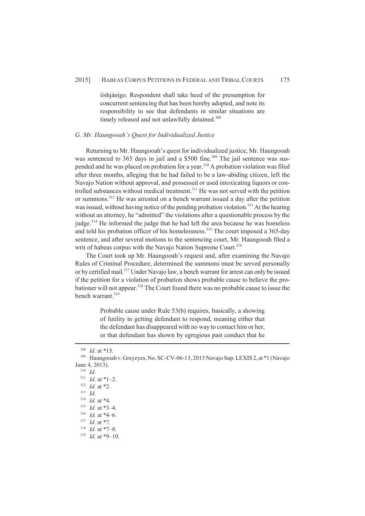#### 2015] HABEAS CORPUS PETITIONS IN FEDERAL AND TRIBAL COURTS 175

ííshjánígo. Respondent shall take heed of the presumption for concurrent sentencing that has been hereby adopted, and note its responsibility to see that defendants in similar situations are timely released and not unlawfully detained.<sup>308</sup>

## *G. Mr. Haungooah's Quest for Individualized Justice*

Returning to Mr. Haungooah's quest for individualized justice, Mr. Haungooah was sentenced to 365 days in jail and a \$500 fine.<sup>309</sup> The jail sentence was suspended and he was placed on probation for a year.<sup>310</sup> A probation violation was filed after three months, alleging that he had failed to be a law-abiding citizen, left the Navajo Nation without approval, and possessed or used intoxicating liquors or controlled substances without medical treatment.<sup>311</sup> He was not served with the petition or summons.<sup>312</sup> He was arrested on a bench warrant issued a day after the petition was issued, without having notice of the pending probation violation.<sup>313</sup> At the hearing without an attorney, he "admitted" the violations after a questionable process by the judge.<sup>314</sup> He informed the judge that he had left the area because he was homeless and told his probation officer of his homelessness.<sup>315</sup> The court imposed a 365-day sentence, and after several motions to the sentencing court, Mr. Haungooah filed a writ of habeas corpus with the Navajo Nation Supreme Court.<sup>316</sup>

The Court took up Mr. Haungooah's request and, after examining the Navajo Rules of Criminal Procedure, determined the summons must be served personally or by certified mail.<sup>317</sup> Under Navajo law, a bench warrant for arrest can only be issued if the petition for a violation of probation shows probable cause to believe the probationer will not appear.<sup>318</sup> The Court found there was no probable cause to issue the bench warrant.<sup>319</sup>

> Probable cause under Rule 53(b) requires, basically, a showing of futility in getting defendant to respond, meaning either that the defendant has disappeared with no way to contact him or her, or that defendant has shown by egregious past conduct that he

<sup>308</sup> *Id.* at \*15.

<sup>309</sup> Haungooah v. Greyeyes, No. SC-CV-06-13, 2013 Navajo Sup. LEXIS 2, at \*1 (Navajo June 4, 2013).

<sup>310</sup> *Id.*

<sup>311</sup> *Id.* at \*1–2.

<sup>312</sup> *Id.* at \*2.

<sup>313</sup> *Id.*

<sup>314</sup> *Id.* at \*4.

<sup>315</sup> *Id.* at \*3–4.

<sup>316</sup> *Id.* at \*4–6.

<sup>317</sup> *Id.* at \*7.

<sup>318</sup> *Id.* at \*7–8.

 $319$  *Id.* at \*9–10.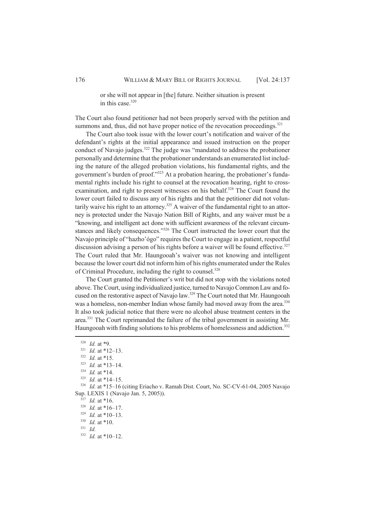or she will not appear in [the] future. Neither situation is present in this case  $320$ 

The Court also found petitioner had not been properly served with the petition and summons and, thus, did not have proper notice of the revocation proceedings.<sup>321</sup>

The Court also took issue with the lower court's notification and waiver of the defendant's rights at the initial appearance and issued instruction on the proper conduct of Navajo judges.<sup>322</sup> The judge was "mandated to address the probationer personally and determine that the probationer understands an enumerated list including the nature of the alleged probation violations, his fundamental rights, and the government's burden of proof."<sup>323</sup> At a probation hearing, the probationer's fundamental rights include his right to counsel at the revocation hearing, right to crossexamination, and right to present witnesses on his behalf.<sup>324</sup> The Court found the lower court failed to discuss any of his rights and that the petitioner did not voluntarily waive his right to an attorney.<sup>325</sup> A waiver of the fundamental right to an attorney is protected under the Navajo Nation Bill of Rights, and any waiver must be a "knowing, and intelligent act done with sufficient awareness of the relevant circumstances and likely consequences."<sup>326</sup> The Court instructed the lower court that the Navajo principle of "hazho'ógo" requires the Court to engage in a patient, respectful discussion advising a person of his rights before a waiver will be found effective.<sup>327</sup> The Court ruled that Mr. Haungooah's waiver was not knowing and intelligent because the lower court did not inform him of his rights enumerated under the Rules of Criminal Procedure, including the right to counsel.<sup>328</sup>

The Court granted the Petitioner's writ but did not stop with the violations noted above. The Court, using individualized justice, turned to Navajo Common Law and focused on the restorative aspect of Navajo law.<sup>329</sup> The Court noted that Mr. Haungooah was a homeless, non-member Indian whose family had moved away from the area.<sup>330</sup> It also took judicial notice that there were no alcohol abuse treatment centers in the area.<sup>331</sup> The Court reprimanded the failure of the tribal government in assisting Mr. Haungooah with finding solutions to his problems of homelessness and addiction.<sup>332</sup>

<sup>332</sup> *Id.* at \*10–12.

<sup>320</sup> *Id.* at \*9.

<sup>321</sup> *Id.* at \*12–13.

<sup>322</sup> *Id.* at \*15.

<sup>323</sup> *Id.* at \*13–14.

<sup>324</sup> *Id.* at \*14.

 $325$  *Id.* at \*14–15.

<sup>326</sup> *Id.* at \*15–16 (citing Eriacho v. Ramah Dist. Court, No. SC-CV-61-04, 2005 Navajo Sup. LEXIS 1 (Navajo Jan. 5, 2005)).

<sup>327</sup> *Id.* at \*16.

<sup>328</sup> *Id.* at \*16–17.

<sup>329</sup> *Id.* at \*10–13.

<sup>330</sup> *Id.* at \*10.

<sup>331</sup> *Id.*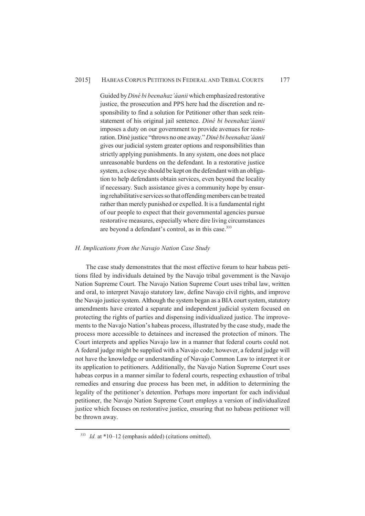## 2015] HABEAS CORPUS PETITIONS IN FEDERAL AND TRIBAL COURTS 177

Guided by *Diné bi beenahaz'áanii* which emphasized restorative justice, the prosecution and PPS here had the discretion and responsibility to find a solution for Petitioner other than seek reinstatement of his original jail sentence. *Diné bi beenahaz'áanii* imposes a duty on our government to provide avenues for restoration. Diné justice "throws no one away." *Diné bi beenahaz'áanii* gives our judicial system greater options and responsibilities than strictly applying punishments. In any system, one does not place unreasonable burdens on the defendant. In a restorative justice system, a close eye should be kept on the defendant with an obligation to help defendants obtain services, even beyond the locality if necessary. Such assistance gives a community hope by ensuring rehabilitative services so that offending members can be treated rather than merely punished or expelled. It is a fundamental right of our people to expect that their governmental agencies pursue restorative measures, especially where dire living circumstances are beyond a defendant's control, as in this case.<sup>333</sup>

## *H. Implications from the Navajo Nation Case Study*

The case study demonstrates that the most effective forum to hear habeas petitions filed by individuals detained by the Navajo tribal government is the Navajo Nation Supreme Court. The Navajo Nation Supreme Court uses tribal law, written and oral, to interpret Navajo statutory law, define Navajo civil rights, and improve the Navajo justice system. Although the system began as a BIA court system, statutory amendments have created a separate and independent judicial system focused on protecting the rights of parties and dispensing individualized justice. The improvements to the Navajo Nation's habeas process, illustrated by the case study, made the process more accessible to detainees and increased the protection of minors. The Court interprets and applies Navajo law in a manner that federal courts could not. A federal judge might be supplied with a Navajo code; however, a federal judge will not have the knowledge or understanding of Navajo Common Law to interpret it or its application to petitioners. Additionally, the Navajo Nation Supreme Court uses habeas corpus in a manner similar to federal courts, respecting exhaustion of tribal remedies and ensuring due process has been met, in addition to determining the legality of the petitioner's detention. Perhaps more important for each individual petitioner, the Navajo Nation Supreme Court employs a version of individualized justice which focuses on restorative justice, ensuring that no habeas petitioner will be thrown away.

<sup>333</sup> *Id.* at \*10–12 (emphasis added) (citations omitted).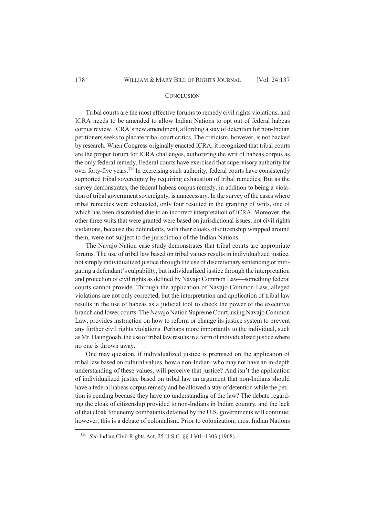#### **CONCLUSION**

Tribal courts are the most effective forums to remedy civil rights violations, and ICRA needs to be amended to allow Indian Nations to opt out of federal habeas corpus review. ICRA's new amendment, affording a stay of detention for non-Indian petitioners seeks to placate tribal court critics. The criticism, however, is not backed by research. When Congress originally enacted ICRA, it recognized that tribal courts are the proper forum for ICRA challenges, authorizing the writ of habeas corpus as the only federal remedy. Federal courts have exercised that supervisory authority for over forty-five years.<sup>334</sup> In exercising such authority, federal courts have consistently supported tribal sovereignty by requiring exhaustion of tribal remedies. But as the survey demonstrates, the federal habeas corpus remedy, in addition to being a violation of tribal government sovereignty, is unnecessary. In the survey of the cases where tribal remedies were exhausted, only four resulted in the granting of writs, one of which has been discredited due to an incorrect interpretation of ICRA. Moreover, the other three writs that were granted were based on jurisdictional issues, not civil rights violations, because the defendants, with their cloaks of citizenship wrapped around them, were not subject to the jurisdiction of the Indian Nations.

The Navajo Nation case study demonstrates that tribal courts are appropriate forums. The use of tribal law based on tribal values results in individualized justice, not simply individualized justice through the use of discretionary sentencing or mitigating a defendant's culpability, but individualized justice through the interpretation and protection of civil rights as defined by Navajo Common Law—something federal courts cannot provide. Through the application of Navajo Common Law, alleged violations are not only corrected, but the interpretation and application of tribal law results in the use of habeas as a judicial tool to check the power of the executive branch and lower courts. The Navajo Nation Supreme Court, using Navajo Common Law, provides instruction on how to reform or change its justice system to prevent any further civil rights violations. Perhaps more importantly to the individual, such as Mr. Haungooah, the use of tribal law results in a form of individualized justice where no one is thrown away.

One may question, if individualized justice is premised on the application of tribal law based on cultural values, how a non-Indian, who may not have an in-depth understanding of these values, will perceive that justice? And isn't the application of individualized justice based on tribal law an argument that non-Indians should have a federal habeas corpus remedy and be allowed a stay of detention while the petition is pending because they have no understanding of the law? The debate regarding the cloak of citizenship provided to non-Indians in Indian country, and the lack of that cloak for enemy combatants detained by the U.S. governments will continue; however, this is a debate of colonialism. Prior to colonization, most Indian Nations

<sup>334</sup> *See* Indian Civil Rights Act, 25 U.S.C. §§ 1301–1303 (1968).